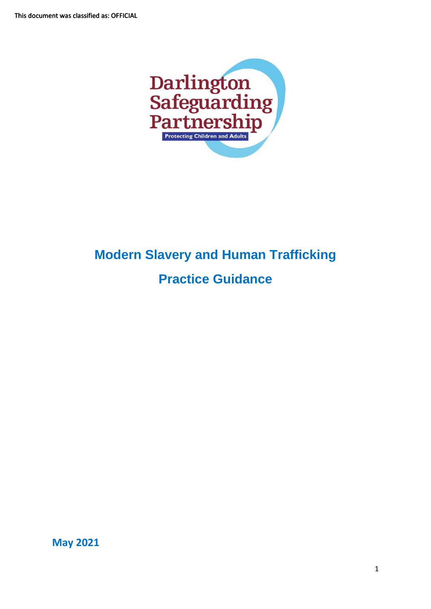

# **Modern Slavery and Human Trafficking Practice Guidance**

**May 2021**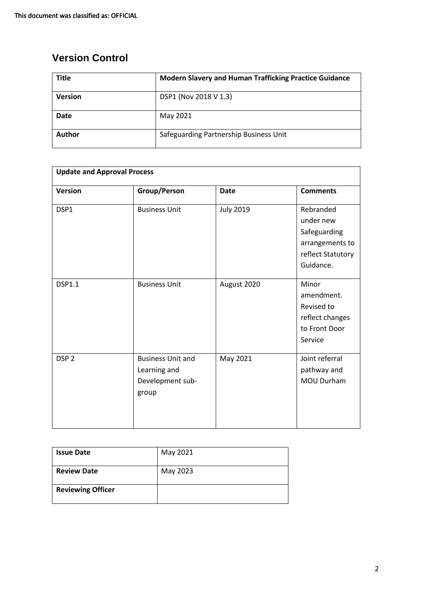# **Version Control**

| <b>Title</b>   | <b>Modern Slavery and Human Trafficking Practice Guidance</b> |
|----------------|---------------------------------------------------------------|
| <b>Version</b> | DSP1 (Nov 2018 V 1.3)                                         |
| <b>Date</b>    | May 2021                                                      |
| Author         | Safeguarding Partnership Business Unit                        |

| <b>Update and Approval Process</b> |                                                                       |                  |                                                                                             |
|------------------------------------|-----------------------------------------------------------------------|------------------|---------------------------------------------------------------------------------------------|
| <b>Version</b>                     | Group/Person                                                          | <b>Date</b>      | <b>Comments</b>                                                                             |
| DSP1                               | <b>Business Unit</b>                                                  | <b>July 2019</b> | Rebranded<br>under new<br>Safeguarding<br>arrangements to<br>reflect Statutory<br>Guidance. |
| <b>DSP1.1</b>                      | <b>Business Unit</b>                                                  | August 2020      | Minor<br>amendment.<br>Revised to<br>reflect changes<br>to Front Door<br>Service            |
| DSP <sub>2</sub>                   | <b>Business Unit and</b><br>Learning and<br>Development sub-<br>group | May 2021         | Joint referral<br>pathway and<br><b>MOU Durham</b>                                          |

| <b>Issue Date</b>        | May 2021 |
|--------------------------|----------|
| <b>Review Date</b>       | May 2023 |
| <b>Reviewing Officer</b> |          |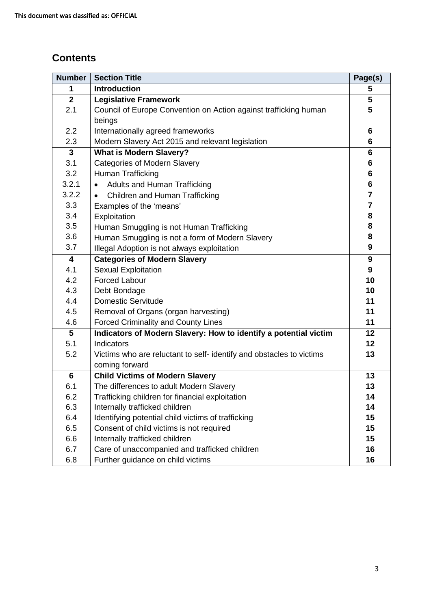# **Contents**

| <b>Number</b>           | <b>Section Title</b>                                                | Page(s)         |
|-------------------------|---------------------------------------------------------------------|-----------------|
| 1                       | <b>Introduction</b>                                                 | 5               |
| $\overline{2}$          | <b>Legislative Framework</b>                                        | 5               |
| 2.1                     | Council of Europe Convention on Action against trafficking human    | 5               |
|                         | beings                                                              |                 |
| 2.2                     | Internationally agreed frameworks                                   | 6               |
| 2.3                     | Modern Slavery Act 2015 and relevant legislation                    | 6               |
| $\mathbf{3}$            | <b>What is Modern Slavery?</b>                                      | 6               |
| 3.1                     | <b>Categories of Modern Slavery</b>                                 | $6\phantom{1}6$ |
| 3.2                     | Human Trafficking                                                   | $6\phantom{1}6$ |
| 3.2.1                   | Adults and Human Trafficking<br>$\bullet$                           | 6               |
| 3.2.2                   | Children and Human Trafficking<br>$\bullet$                         | $\overline{7}$  |
| 3.3                     | Examples of the 'means'                                             | $\overline{7}$  |
| 3.4                     | Exploitation                                                        | 8               |
| 3.5                     | Human Smuggling is not Human Trafficking                            | 8               |
| 3.6                     | Human Smuggling is not a form of Modern Slavery                     | 8               |
| 3.7                     | Illegal Adoption is not always exploitation                         | 9               |
| $\overline{\mathbf{4}}$ | <b>Categories of Modern Slavery</b>                                 | 9               |
| 4.1                     | <b>Sexual Exploitation</b>                                          | 9               |
| 4.2                     | <b>Forced Labour</b>                                                | 10              |
| 4.3                     | Debt Bondage                                                        | 10              |
| 4.4                     | <b>Domestic Servitude</b>                                           | 11              |
| 4.5                     | Removal of Organs (organ harvesting)                                | 11              |
| 4.6                     | <b>Forced Criminality and County Lines</b>                          | 11              |
| 5                       | Indicators of Modern Slavery: How to identify a potential victim    | 12              |
| 5.1                     | <b>Indicators</b>                                                   | 12              |
| 5.2                     | Victims who are reluctant to self-identify and obstacles to victims | 13              |
|                         | coming forward                                                      |                 |
| $6\phantom{1}6$         | <b>Child Victims of Modern Slavery</b>                              | 13              |
| 6.1                     | The differences to adult Modern Slavery                             | 13              |
| 6.2                     | Trafficking children for financial exploitation                     | 14              |
| 6.3                     | Internally trafficked children                                      | 14              |
| 6.4                     | Identifying potential child victims of trafficking                  | 15              |
| 6.5                     | Consent of child victims is not required                            | 15              |
| 6.6                     | Internally trafficked children                                      | 15              |
| 6.7                     | Care of unaccompanied and trafficked children                       | 16              |
| 6.8                     | Further guidance on child victims                                   | 16              |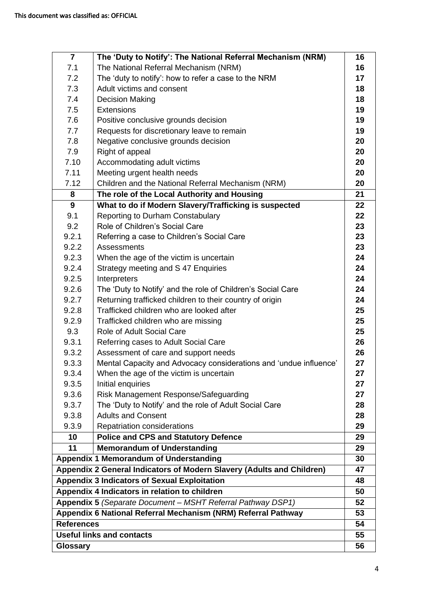| $\overline{7}$                                                | The 'Duty to Notify': The National Referral Mechanism (NRM)           | 16 |
|---------------------------------------------------------------|-----------------------------------------------------------------------|----|
| 7.1                                                           | The National Referral Mechanism (NRM)                                 | 16 |
| 7.2                                                           | The 'duty to notify': how to refer a case to the NRM                  | 17 |
| 7.3                                                           | Adult victims and consent                                             | 18 |
| 7.4                                                           | <b>Decision Making</b>                                                | 18 |
| 7.5                                                           | <b>Extensions</b>                                                     | 19 |
| 7.6                                                           | Positive conclusive grounds decision                                  | 19 |
| 7.7                                                           | Requests for discretionary leave to remain                            | 19 |
| 7.8                                                           | Negative conclusive grounds decision                                  | 20 |
| 7.9                                                           | Right of appeal                                                       | 20 |
| 7.10                                                          | Accommodating adult victims                                           | 20 |
| 7.11                                                          | Meeting urgent health needs                                           | 20 |
| 7.12                                                          | Children and the National Referral Mechanism (NRM)                    | 20 |
| 8                                                             | The role of the Local Authority and Housing                           | 21 |
| 9                                                             | What to do if Modern Slavery/Trafficking is suspected                 | 22 |
| 9.1                                                           | <b>Reporting to Durham Constabulary</b>                               | 22 |
| 9.2                                                           | Role of Children's Social Care                                        | 23 |
| 9.2.1                                                         | Referring a case to Children's Social Care                            | 23 |
| 9.2.2                                                         | <b>Assessments</b>                                                    | 23 |
| 9.2.3                                                         | When the age of the victim is uncertain                               | 24 |
| 9.2.4                                                         | Strategy meeting and S 47 Enquiries                                   | 24 |
| 9.2.5                                                         | Interpreters                                                          | 24 |
| 9.2.6                                                         | The 'Duty to Notify' and the role of Children's Social Care           | 24 |
| 9.2.7                                                         | Returning trafficked children to their country of origin              | 24 |
| 9.2.8                                                         | Trafficked children who are looked after                              | 25 |
| 9.2.9                                                         | Trafficked children who are missing                                   | 25 |
| 9.3                                                           | Role of Adult Social Care                                             | 25 |
| 9.3.1                                                         | Referring cases to Adult Social Care                                  | 26 |
| 9.3.2                                                         | Assessment of care and support needs                                  | 26 |
| 9.3.3                                                         | Mental Capacity and Advocacy considerations and 'undue influence'     | 27 |
| 9.3.4                                                         | When the age of the victim is uncertain                               | 27 |
| 9.3.5                                                         | Initial enquiries                                                     | 27 |
| 9.3.6                                                         | Risk Management Response/Safeguarding                                 | 27 |
| 9.3.7                                                         | The 'Duty to Notify' and the role of Adult Social Care                | 28 |
| 9.3.8                                                         | <b>Adults and Consent</b>                                             | 28 |
| 9.3.9                                                         | Repatriation considerations                                           | 29 |
| 10                                                            | <b>Police and CPS and Statutory Defence</b>                           | 29 |
| 11                                                            | <b>Memorandum of Understanding</b>                                    | 29 |
|                                                               | <b>Appendix 1 Memorandum of Understanding</b>                         | 30 |
|                                                               | Appendix 2 General Indicators of Modern Slavery (Adults and Children) | 47 |
|                                                               | <b>Appendix 3 Indicators of Sexual Exploitation</b>                   | 48 |
| Appendix 4 Indicators in relation to children                 |                                                                       | 50 |
|                                                               | Appendix 5 (Separate Document - MSHT Referral Pathway DSP1)           | 52 |
| Appendix 6 National Referral Mechanism (NRM) Referral Pathway |                                                                       | 53 |
| <b>References</b>                                             |                                                                       | 54 |
| <b>Useful links and contacts</b>                              |                                                                       | 55 |
| <b>Glossary</b>                                               |                                                                       | 56 |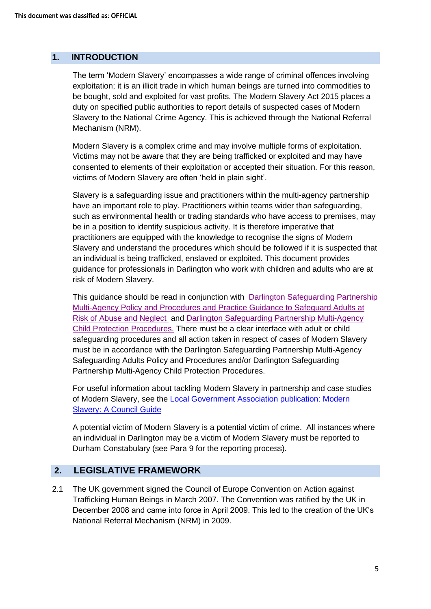## **1. INTRODUCTION**

The term 'Modern Slavery' encompasses a wide range of criminal offences involving exploitation; it is an illicit trade in which human beings are turned into commodities to be bought, sold and exploited for vast profits. The Modern Slavery Act 2015 places a duty on specified public authorities to report details of suspected cases of Modern Slavery to the National Crime Agency. This is achieved through the National Referral Mechanism (NRM).

Modern Slavery is a complex crime and may involve multiple forms of exploitation. Victims may not be aware that they are being trafficked or exploited and may have consented to elements of their exploitation or accepted their situation. For this reason, victims of Modern Slavery are often 'held in plain sight'.

Slavery is a safeguarding issue and practitioners within the multi-agency partnership have an important role to play. Practitioners within teams wider than safeguarding, such as environmental health or trading standards who have access to premises, may be in a position to identify suspicious activity. It is therefore imperative that practitioners are equipped with the knowledge to recognise the signs of Modern Slavery and understand the procedures which should be followed if it is suspected that an individual is being trafficked, enslaved or exploited. This document provides guidance for professionals in Darlington who work with children and adults who are at risk of Modern Slavery.

This guidance should be read in conjunction with [Darlington Safeguarding Partnership](https://www.darlington-safeguarding-partnership.co.uk/professionals/safeguarding-adult-procedures/)  [Multi-Agency Policy and Procedures and Practice Guidance to Safeguard Adults at](https://www.darlington-safeguarding-partnership.co.uk/professionals/safeguarding-adult-procedures/)  [Risk of Abuse and Neglect](https://www.darlington-safeguarding-partnership.co.uk/professionals/safeguarding-adult-procedures/) and [Darlington Safeguarding Partnership Multi-Agency](https://www.darlington-safeguarding-partnership.co.uk/professionals/multi-agency-safeguarding-child-protection-procedures/)  [Child Protection Procedures.](https://www.darlington-safeguarding-partnership.co.uk/professionals/multi-agency-safeguarding-child-protection-procedures/) There must be a clear interface with adult or child safeguarding procedures and all action taken in respect of cases of Modern Slavery must be in accordance with the Darlington Safeguarding Partnership Multi-Agency Safeguarding Adults Policy and Procedures and/or Darlington Safeguarding Partnership Multi-Agency Child Protection Procedures.

For useful information about tackling Modern Slavery in partnership and case studies of Modern Slavery, see the [Local Government Association publication: Modern](https://www.local.gov.uk/sites/default/files/documents/22.12_Modern_slavery_WEB%202.pdf)  [Slavery: A Council Guide](https://www.local.gov.uk/sites/default/files/documents/22.12_Modern_slavery_WEB%202.pdf)

A potential victim of Modern Slavery is a potential victim of crime. All instances where an individual in Darlington may be a victim of Modern Slavery must be reported to Durham Constabulary (see Para 9 for the reporting process).

## **2. LEGISLATIVE FRAMEWORK**

2.1 The UK government signed the Council of Europe Convention on Action against Trafficking Human Beings in March 2007. The Convention was ratified by the UK in December 2008 and came into force in April 2009. This led to the creation of the UK's National Referral Mechanism (NRM) in 2009.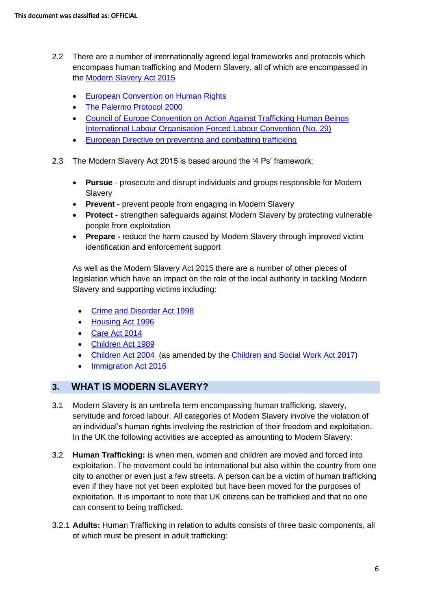- 2.2 There are a number of internationally agreed legal frameworks and protocols which encompass human trafficking and Modern Slavery, all of which are encompassed in the [Modern Slavery](http://www.legislation.gov.uk/ukpga/2015/30/contents/enacted) Act 2015
	- [European Convention on Human Rights](http://www.echr.coe.int/Documents/Convention_ENG.pdf)
	- [The Palermo Protocol 2000](http://www.ohchr.org/EN/ProfessionalInterest/Pages/ProtocolTraffickingInPersons.aspx)
	- [Council of Europe Convention on Action Against Trafficking Human Beings](https://www.coe.int/en/web/conventions/full-list/-/conventions/treaty/197) [International Labour Organisation Forced Labour Convention \(No. 29\)](http://www.ilo.org/dyn/normlex/en/f?p=NORMLEXPUB:12100:0::NO::P12100_ILO_CODE:C029)
	- [European Directive on preventing and combatting trafficking](https://ec.europa.eu/anti-trafficking/legislation-and-case-law-eu-legislation-criminal-law/directive-201136eu_en)
- 2.3 The Modern Slavery Act 2015 is based around the '4 Ps' framework:
	- **Pursue** prosecute and disrupt individuals and groups responsible for Modern Slavery
	- **Prevent -** prevent people from engaging in Modern Slavery
	- **Protect -** strengthen safeguards against Modern Slavery by protecting vulnerable people from exploitation
	- **Prepare -** reduce the harm caused by Modern Slavery through improved victim identification and enforcement support

As well as the Modern Slavery Act 2015 there are a number of other pieces of legislation which have an impact on the role of the local authority in tackling Modern Slavery and supporting victims including:

- [Crime and Disorder Act 1998](https://www.legislation.gov.uk/ukpga/1998/37/contents)
- [Housing Act 1996](https://www.legislation.gov.uk/ukpga/1996/52/contents)
- [Care Act 2014](http://www.legislation.gov.uk/ukpga/2014/23/contents/enacted)
- [Children Act 1989](https://www.legislation.gov.uk/ukpga/1989/41/contents)
- [Children Act 2004](https://www.legislation.gov.uk/ukpga/2004/31/contents) (as amended by the [Children and Social Work Act 2017\)](http://www.legislation.gov.uk/ukpga/2017/16/contents/enacted)
- [Immigration Act 2016](http://www.legislation.gov.uk/ukpga/2016/19/contents/enacted)

## **3. WHAT IS MODERN SLAVERY?**

- 3.1 Modern Slavery is an umbrella term encompassing human trafficking, slavery, servitude and forced labour. All categories of Modern Slavery involve the violation of an individual's human rights involving the restriction of their freedom and exploitation. In the UK the following activities are accepted as amounting to Modern Slavery:
- 3.2 **Human Trafficking:** is when men, women and children are moved and forced into exploitation. The movement could be international but also within the country from one city to another or even just a few streets. A person can be a victim of human trafficking even if they have not yet been exploited but have been moved for the purposes of exploitation. It is important to note that UK citizens can be trafficked and that no one can consent to being trafficked.
- 3.2.1 **Adults:** Human Trafficking in relation to adults consists of three basic components, all of which must be present in adult trafficking: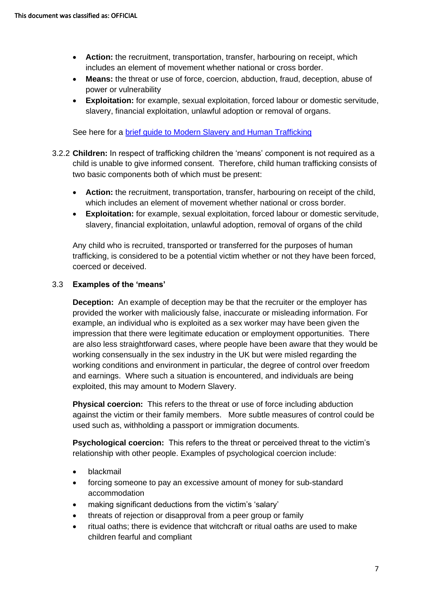- **Action:** the recruitment, transportation, transfer, harbouring on receipt, which includes an element of movement whether national or cross border.
- **Means:** the threat or use of force, coercion, abduction, fraud, deception, abuse of power or vulnerability
- **Exploitation:** for example, sexual exploitation, forced labour or domestic servitude, slavery, financial exploitation, unlawful adoption or removal of organs.

See here for a [brief guide to Modern Slavery](https://www.darlington-safeguarding-partnership.co.uk/professionals/multi-agency-practice-guidance/) and Human Trafficking

- 3.2.2 **Children:** In respect of trafficking children the 'means' component is not required as a child is unable to give informed consent. Therefore, child human trafficking consists of two basic components both of which must be present:
	- **Action:** the recruitment, transportation, transfer, harbouring on receipt of the child, which includes an element of movement whether national or cross border.
	- **Exploitation:** for example, sexual exploitation, forced labour or domestic servitude, slavery, financial exploitation, unlawful adoption, removal of organs of the child

Any child who is recruited, transported or transferred for the purposes of human trafficking, is considered to be a potential victim whether or not they have been forced, coerced or deceived.

#### 3.3 **Examples of the 'means'**

**Deception:** An example of deception may be that the recruiter or the employer has provided the worker with maliciously false, inaccurate or misleading information. For example, an individual who is exploited as a sex worker may have been given the impression that there were legitimate education or employment opportunities. There are also less straightforward cases, where people have been aware that they would be working consensually in the sex industry in the UK but were misled regarding the working conditions and environment in particular, the degree of control over freedom and earnings. Where such a situation is encountered, and individuals are being exploited, this may amount to Modern Slavery.

**Physical coercion:** This refers to the threat or use of force including abduction against the victim or their family members. More subtle measures of control could be used such as, withholding a passport or immigration documents.

**Psychological coercion:** This refers to the threat or perceived threat to the victim's relationship with other people. Examples of psychological coercion include:

- blackmail
- forcing someone to pay an excessive amount of money for sub-standard accommodation
- making significant deductions from the victim's 'salary'
- threats of rejection or disapproval from a peer group or family
- ritual oaths; there is evidence that witchcraft or ritual oaths are used to make children fearful and compliant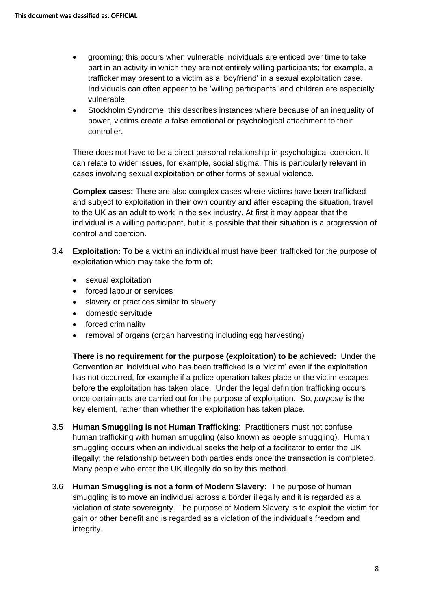- grooming; this occurs when vulnerable individuals are enticed over time to take part in an activity in which they are not entirely willing participants; for example, a trafficker may present to a victim as a 'boyfriend' in a sexual exploitation case. Individuals can often appear to be 'willing participants' and children are especially vulnerable.
- Stockholm Syndrome; this describes instances where because of an inequality of power, victims create a false emotional or psychological attachment to their controller.

There does not have to be a direct personal relationship in psychological coercion. It can relate to wider issues, for example, social stigma. This is particularly relevant in cases involving sexual exploitation or other forms of sexual violence.

**Complex cases:** There are also complex cases where victims have been trafficked and subject to exploitation in their own country and after escaping the situation, travel to the UK as an adult to work in the sex industry. At first it may appear that the individual is a willing participant, but it is possible that their situation is a progression of control and coercion.

- 3.4 **Exploitation:** To be a victim an individual must have been trafficked for the purpose of exploitation which may take the form of:
	- sexual exploitation
	- forced labour or services
	- slavery or practices similar to slavery
	- domestic servitude
	- forced criminality
	- removal of organs (organ harvesting including egg harvesting)

**There is no requirement for the purpose (exploitation) to be achieved:** Under the Convention an individual who has been trafficked is a 'victim' even if the exploitation has not occurred, for example if a police operation takes place or the victim escapes before the exploitation has taken place. Under the legal definition trafficking occurs once certain acts are carried out for the purpose of exploitation. So, *purpose* is the key element, rather than whether the exploitation has taken place.

- 3.5 **Human Smuggling is not Human Trafficking**: Practitioners must not confuse human trafficking with human smuggling (also known as people smuggling). Human smuggling occurs when an individual seeks the help of a facilitator to enter the UK illegally; the relationship between both parties ends once the transaction is completed. Many people who enter the UK illegally do so by this method.
- 3.6 **Human Smuggling is not a form of Modern Slavery:** The purpose of human smuggling is to move an individual across a border illegally and it is regarded as a violation of state sovereignty. The purpose of Modern Slavery is to exploit the victim for gain or other benefit and is regarded as a violation of the individual's freedom and integrity.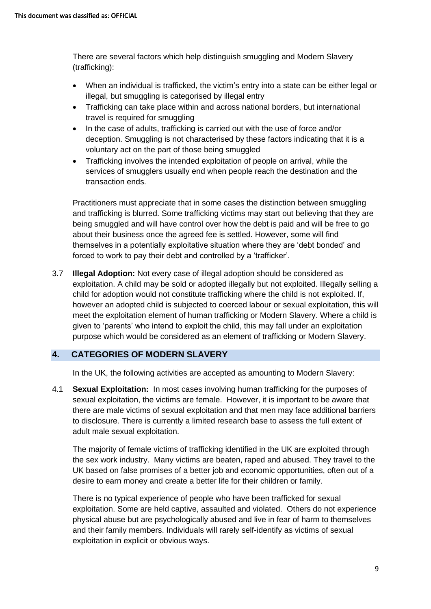There are several factors which help distinguish smuggling and Modern Slavery (trafficking):

- When an individual is trafficked, the victim's entry into a state can be either legal or illegal, but smuggling is categorised by illegal entry
- Trafficking can take place within and across national borders, but international travel is required for smuggling
- In the case of adults, trafficking is carried out with the use of force and/or deception. Smuggling is not characterised by these factors indicating that it is a voluntary act on the part of those being smuggled
- Trafficking involves the intended exploitation of people on arrival, while the services of smugglers usually end when people reach the destination and the transaction ends.

Practitioners must appreciate that in some cases the distinction between smuggling and trafficking is blurred. Some trafficking victims may start out believing that they are being smuggled and will have control over how the debt is paid and will be free to go about their business once the agreed fee is settled. However, some will find themselves in a potentially exploitative situation where they are 'debt bonded' and forced to work to pay their debt and controlled by a 'trafficker'.

3.7 **Illegal Adoption:** Not every case of illegal adoption should be considered as exploitation. A child may be sold or adopted illegally but not exploited. Illegally selling a child for adoption would not constitute trafficking where the child is not exploited. If, however an adopted child is subjected to coerced labour or sexual exploitation, this will meet the exploitation element of human trafficking or Modern Slavery. Where a child is given to 'parents' who intend to exploit the child, this may fall under an exploitation purpose which would be considered as an element of trafficking or Modern Slavery.

#### **4. CATEGORIES OF MODERN SLAVERY**

In the UK, the following activities are accepted as amounting to Modern Slavery:

4.1 **Sexual Exploitation:** In most cases involving human trafficking for the purposes of sexual exploitation, the victims are female. However, it is important to be aware that there are male victims of sexual exploitation and that men may face additional barriers to disclosure. There is currently a limited research base to assess the full extent of adult male sexual exploitation.

The majority of female victims of trafficking identified in the UK are exploited through the sex work industry. Many victims are beaten, raped and abused. They travel to the UK based on false promises of a better job and economic opportunities, often out of a desire to earn money and create a better life for their children or family.

There is no typical experience of people who have been trafficked for sexual exploitation. Some are held captive, assaulted and violated. Others do not experience physical abuse but are psychologically abused and live in fear of harm to themselves and their family members. Individuals will rarely self-identify as victims of sexual exploitation in explicit or obvious ways.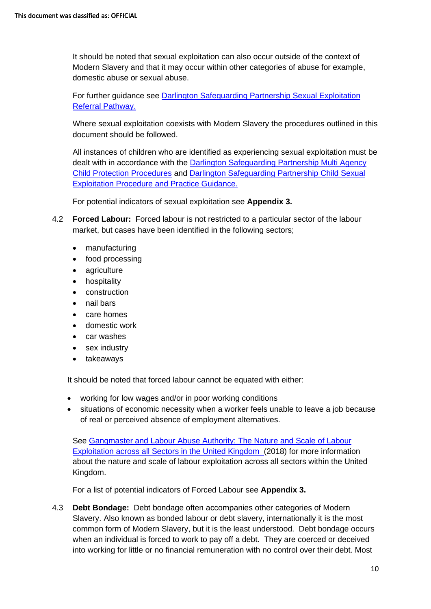It should be noted that sexual exploitation can also occur outside of the context of Modern Slavery and that it may occur within other categories of abuse for example, domestic abuse or sexual abuse.

For further guidance see [Darlington Safeguarding Partnership Sexual Exploitation](https://www.darlington-safeguarding-partnership.co.uk/professionals/multi-agency-practice-guidance/)  [Referral Pathway.](https://www.darlington-safeguarding-partnership.co.uk/professionals/multi-agency-practice-guidance/) 

Where sexual exploitation coexists with Modern Slavery the procedures outlined in this document should be followed.

All instances of children who are identified as experiencing sexual exploitation must be dealt with in accordance with the [Darlington Safeguarding Partnership Multi Agency](https://www.darlington-safeguarding-partnership.co.uk/professionals/multi-agency-safeguarding-child-protection-procedures/)  [Child Protection Procedures](https://www.darlington-safeguarding-partnership.co.uk/professionals/multi-agency-safeguarding-child-protection-procedures/) and [Darlington Safeguarding Partnership Child Sexual](https://www.darlington-safeguarding-partnership.co.uk/professionals/multi-agency-practice-guidance/)  [Exploitation Procedure and Practice Guidance.](https://www.darlington-safeguarding-partnership.co.uk/professionals/multi-agency-practice-guidance/) 

For potential indicators of sexual exploitation see **Appendix 3.** 

- 4.2 **Forced Labour:** Forced labour is not restricted to a particular sector of the labour market, but cases have been identified in the following sectors;
	- manufacturing
	- food processing
	- agriculture
	- hospitality
	- construction
	- nail bars
	- care homes
	- domestic work
	- car washes
	- sex industry
	- takeaways

It should be noted that forced labour cannot be equated with either:

- working for low wages and/or in poor working conditions
- situations of economic necessity when a worker feels unable to leave a job because of real or perceived absence of employment alternatives.

See [Gangmaster and Labour Abuse Authority: The Nature and Scale of Labour](https://www.gla.gov.uk/whats-new/the-nature-and-scale-of-labour-exploitation-across-all-sectors-within-the-united-kingdom/)  [Exploitation across all Sectors in the United Kingdom](https://www.gla.gov.uk/whats-new/the-nature-and-scale-of-labour-exploitation-across-all-sectors-within-the-united-kingdom/) (2018) for more information about the nature and scale of labour exploitation across all sectors within the United Kingdom.

For a list of potential indicators of Forced Labour see **Appendix 3.**

4.3 **Debt Bondage:** Debt bondage often accompanies other categories of Modern Slavery. Also known as bonded labour or debt slavery, internationally it is the most common form of Modern Slavery, but it is the least understood. Debt bondage occurs when an individual is forced to work to pay off a debt. They are coerced or deceived into working for little or no financial remuneration with no control over their debt. Most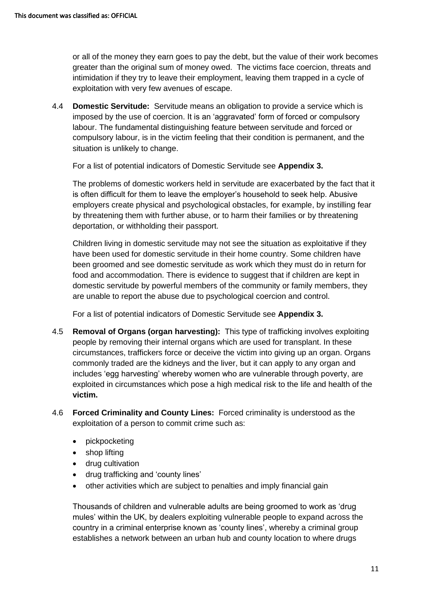or all of the money they earn goes to pay the debt, but the value of their work becomes greater than the original sum of money owed. The victims face coercion, threats and intimidation if they try to leave their employment, leaving them trapped in a cycle of exploitation with very few avenues of escape.

4.4 **Domestic Servitude:** Servitude means an obligation to provide a service which is imposed by the use of coercion. It is an 'aggravated' form of forced or compulsory labour. The fundamental distinguishing feature between servitude and forced or compulsory labour, is in the victim feeling that their condition is permanent, and the situation is unlikely to change.

For a list of potential indicators of Domestic Servitude see **Appendix 3.** 

The problems of domestic workers held in servitude are exacerbated by the fact that it is often difficult for them to leave the employer's household to seek help. Abusive employers create physical and psychological obstacles, for example, by instilling fear by threatening them with further abuse, or to harm their families or by threatening deportation, or withholding their passport.

Children living in domestic servitude may not see the situation as exploitative if they have been used for domestic servitude in their home country. Some children have been groomed and see domestic servitude as work which they must do in return for food and accommodation. There is evidence to suggest that if children are kept in domestic servitude by powerful members of the community or family members, they are unable to report the abuse due to psychological coercion and control.

For a list of potential indicators of Domestic Servitude see **Appendix 3.** 

- 4.5 **Removal of Organs (organ harvesting):** This type of trafficking involves exploiting people by removing their internal organs which are used for transplant. In these circumstances, traffickers force or deceive the victim into giving up an organ. Organs commonly traded are the kidneys and the liver, but it can apply to any organ and includes 'egg harvesting' whereby women who are vulnerable through poverty, are exploited in circumstances which pose a high medical risk to the life and health of the **victim.**
- 4.6 **Forced Criminality and County Lines:** Forced criminality is understood as the exploitation of a person to commit crime such as:
	- pickpocketing
	- shop lifting
	- drug cultivation
	- drug trafficking and 'county lines'
	- other activities which are subject to penalties and imply financial gain

Thousands of children and vulnerable adults are being groomed to work as 'drug mules' within the UK, by dealers exploiting vulnerable people to expand across the country in a criminal enterprise known as 'county lines', whereby a criminal group establishes a network between an urban hub and county location to where drugs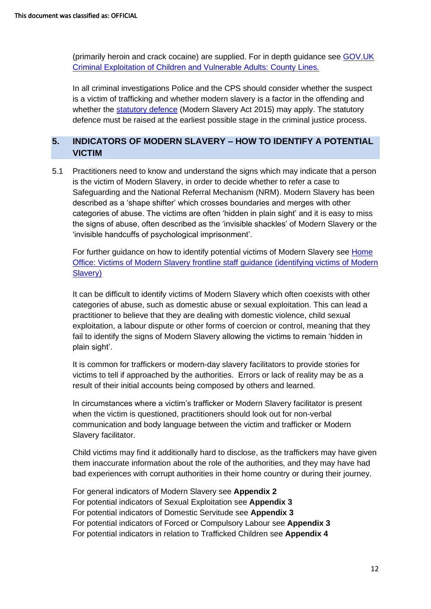(primarily heroin and crack cocaine) are supplied. For in depth guidance see [GOV.UK](https://assets.publishing.service.gov.uk/government/uploads/system/uploads/attachment_data/file/741194/HOCountyLinesGuidanceSept2018.pdf)  [Criminal Exploitation of Children and Vulnerable Adults: County Lines.](https://assets.publishing.service.gov.uk/government/uploads/system/uploads/attachment_data/file/741194/HOCountyLinesGuidanceSept2018.pdf) 

In all criminal investigations Police and the CPS should consider whether the suspect is a victim of trafficking and whether modern slavery is a factor in the offending and whether the [statutory defence](https://www.legislation.gov.uk/ukpga/2015/30/section/45/enacted) (Modern Slavery Act 2015) may apply. The statutory defence must be raised at the earliest possible stage in the criminal justice process.

## **5. INDICATORS OF MODERN SLAVERY – HOW TO IDENTIFY A POTENTIAL VICTIM**

5.1 Practitioners need to know and understand the signs which may indicate that a person is the victim of Modern Slavery, in order to decide whether to refer a case to Safeguarding and the National Referral Mechanism (NRM). Modern Slavery has been described as a 'shape shifter' which crosses boundaries and merges with other categories of abuse. The victims are often 'hidden in plain sight' and it is easy to miss the signs of abuse, often described as the 'invisible shackles' of Modern Slavery or the 'invisible handcuffs of psychological imprisonment'.

For further guidance on how to identify potential victims of Modern Slavery see [Home](https://www.gov.uk/government/uploads/system/uploads/attachment_data/file/509326/victims-of-modern-slavery-frontline-staff-guidance-v3.pdf)  Office: Victims of Modern Slavery [frontline staff guidance \(identifying victims of Modern](https://www.gov.uk/government/uploads/system/uploads/attachment_data/file/509326/victims-of-modern-slavery-frontline-staff-guidance-v3.pdf)  [Slavery\)](https://www.gov.uk/government/uploads/system/uploads/attachment_data/file/509326/victims-of-modern-slavery-frontline-staff-guidance-v3.pdf) 

It can be difficult to identify victims of Modern Slavery which often coexists with other categories of abuse, such as domestic abuse or sexual exploitation. This can lead a practitioner to believe that they are dealing with domestic violence, child sexual exploitation, a labour dispute or other forms of coercion or control, meaning that they fail to identify the signs of Modern Slavery allowing the victims to remain 'hidden in plain sight'.

It is common for traffickers or modern-day slavery facilitators to provide stories for victims to tell if approached by the authorities. Errors or lack of reality may be as a result of their initial accounts being composed by others and learned.

In circumstances where a victim's trafficker or Modern Slavery facilitator is present when the victim is questioned, practitioners should look out for non-verbal communication and body language between the victim and trafficker or Modern Slavery facilitator.

Child victims may find it additionally hard to disclose, as the traffickers may have given them inaccurate information about the role of the authorities, and they may have had bad experiences with corrupt authorities in their home country or during their journey.

For general indicators of Modern Slavery see **Appendix 2** For potential indicators of Sexual Exploitation see **Appendix 3** For potential indicators of Domestic Servitude see **Appendix 3** For potential indicators of Forced or Compulsory Labour see **Appendix 3** For potential indicators in relation to Trafficked Children see **Appendix 4**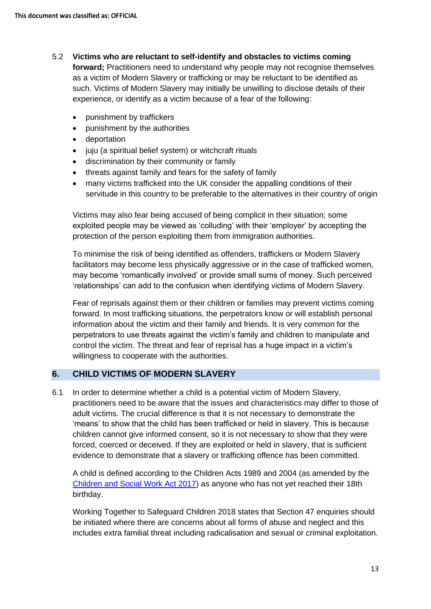- 5.2 **Victims who are reluctant to self-identify and obstacles to victims coming forward;** Practitioners need to understand why people may not recognise themselves as a victim of Modern Slavery or trafficking or may be reluctant to be identified as such. Victims of Modern Slavery may initially be unwilling to disclose details of their experience, or identify as a victim because of a fear of the following:
	- punishment by traffickers
	- punishment by the authorities
	- deportation
	- juju (a spiritual belief system) or witchcraft rituals
	- discrimination by their community or family
	- threats against family and fears for the safety of family
	- many victims trafficked into the UK consider the appalling conditions of their servitude in this country to be preferable to the alternatives in their country of origin

Victims may also fear being accused of being complicit in their situation; some exploited people may be viewed as 'colluding' with their 'employer' by accepting the protection of the person exploiting them from immigration authorities.

To minimise the risk of being identified as offenders, traffickers or Modern Slavery facilitators may become less physically aggressive or in the case of trafficked women, may become 'romantically involved' or provide small sums of money. Such perceived 'relationships' can add to the confusion when identifying victims of Modern Slavery.

Fear of reprisals against them or their children or families may prevent victims coming forward. In most trafficking situations, the perpetrators know or will establish personal information about the victim and their family and friends. It is very common for the perpetrators to use threats against the victim's family and children to manipulate and control the victim. The threat and fear of reprisal has a huge impact in a victim's willingness to cooperate with the authorities.

#### **6. CHILD VICTIMS OF MODERN SLAVERY**

6.1 In order to determine whether a child is a potential victim of Modern Slavery, practitioners need to be aware that the issues and characteristics may differ to those of adult victims. The crucial difference is that it is not necessary to demonstrate the 'means' to show that the child has been trafficked or held in slavery. This is because children cannot give informed consent, so it is not necessary to show that they were forced, coerced or deceived. If they are exploited or held in slavery, that is sufficient evidence to demonstrate that a slavery or trafficking offence has been committed.

A child is defined according to the Children Acts 1989 and 2004 (as amended by the [Children and Social Work Act 2017\)](http://www.legislation.gov.uk/ukpga/2017/16/contents/enacted) as anyone who has not yet reached their 18th birthday.

Working Together to Safeguard Children 2018 states that Section 47 enquiries should be initiated where there are concerns about all forms of abuse and neglect and this includes extra familial threat including radicalisation and sexual or criminal exploitation.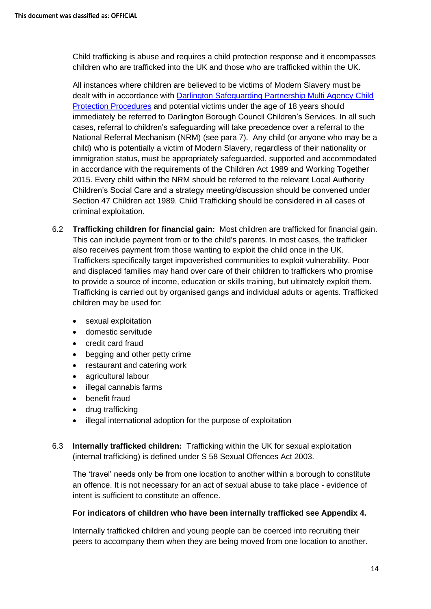Child trafficking is abuse and requires a child protection response and it encompasses children who are trafficked into the UK and those who are trafficked within the UK.

All instances where children are believed to be victims of Modern Slavery must be dealt with in accordance with [Darlington Safeguarding Partnership Multi Agency Child](https://www.darlington-safeguarding-partnership.co.uk/professionals/multi-agency-safeguarding-child-protection-procedures/)  [Protection Procedures](https://www.darlington-safeguarding-partnership.co.uk/professionals/multi-agency-safeguarding-child-protection-procedures/) and potential victims under the age of 18 years should immediately be referred to Darlington Borough Council Children's Services. In all such cases, referral to children's safeguarding will take precedence over a referral to the National Referral Mechanism (NRM) (see para 7). Any child (or anyone who may be a child) who is potentially a victim of Modern Slavery, regardless of their nationality or immigration status, must be appropriately safeguarded, supported and accommodated in accordance with the requirements of the Children Act 1989 and Working Together 2015. Every child within the NRM should be referred to the relevant Local Authority Children's Social Care and a strategy meeting/discussion should be convened under Section 47 Children act 1989. Child Trafficking should be considered in all cases of criminal exploitation.

- 6.2 **Trafficking children for financial gain:** Most children are trafficked for financial gain. This can include payment from or to the child's parents. In most cases, the trafficker also receives payment from those wanting to exploit the child once in the UK. Traffickers specifically target impoverished communities to exploit vulnerability. Poor and displaced families may hand over care of their children to traffickers who promise to provide a source of income, education or skills training, but ultimately exploit them. Trafficking is carried out by organised gangs and individual adults or agents. Trafficked children may be used for:
	- sexual exploitation
	- domestic servitude
	- credit card fraud
	- begging and other petty crime
	- restaurant and catering work
	- agricultural labour
	- illegal cannabis farms
	- benefit fraud
	- drug trafficking
	- illegal international adoption for the purpose of exploitation
- 6.3 **Internally trafficked children:** Trafficking within the UK for sexual exploitation (internal trafficking) is defined under S 58 Sexual Offences Act 2003.

The 'travel' needs only be from one location to another within a borough to constitute an offence. It is not necessary for an act of sexual abuse to take place - evidence of intent is sufficient to constitute an offence.

#### **For indicators of children who have been internally trafficked see Appendix 4.**

Internally trafficked children and young people can be coerced into recruiting their peers to accompany them when they are being moved from one location to another.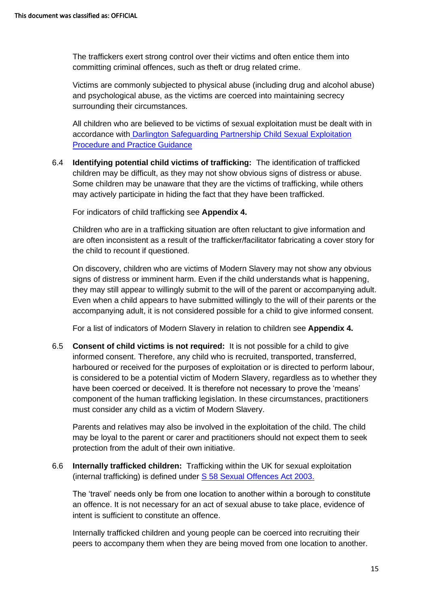The traffickers exert strong control over their victims and often entice them into committing criminal offences, such as theft or drug related crime.

Victims are commonly subjected to physical abuse (including drug and alcohol abuse) and psychological abuse, as the victims are coerced into maintaining secrecy surrounding their circumstances.

All children who are believed to be victims of sexual exploitation must be dealt with in accordance with [Darlington Safeguarding Partnership Child Sexual Exploitation](https://www.darlington-safeguarding-partnership.co.uk/professionals/multi-agency-practice-guidance/)  [Procedure and Practice Guidance](https://www.darlington-safeguarding-partnership.co.uk/professionals/multi-agency-practice-guidance/) 

6.4 **Identifying potential child victims of trafficking:** The identification of trafficked children may be difficult, as they may not show obvious signs of distress or abuse. Some children may be unaware that they are the victims of trafficking, while others may actively participate in hiding the fact that they have been trafficked.

For indicators of child trafficking see **Appendix 4.**

Children who are in a trafficking situation are often reluctant to give information and are often inconsistent as a result of the trafficker/facilitator fabricating a cover story for the child to recount if questioned.

On discovery, children who are victims of Modern Slavery may not show any obvious signs of distress or imminent harm. Even if the child understands what is happening, they may still appear to willingly submit to the will of the parent or accompanying adult. Even when a child appears to have submitted willingly to the will of their parents or the accompanying adult, it is not considered possible for a child to give informed consent.

For a list of indicators of Modern Slavery in relation to children see **Appendix 4.**

6.5 **Consent of child victims is not required:** It is not possible for a child to give informed consent. Therefore, any child who is recruited, transported, transferred, harboured or received for the purposes of exploitation or is directed to perform labour, is considered to be a potential victim of Modern Slavery, regardless as to whether they have been coerced or deceived. It is therefore not necessary to prove the 'means' component of the human trafficking legislation. In these circumstances, practitioners must consider any child as a victim of Modern Slavery.

Parents and relatives may also be involved in the exploitation of the child. The child may be loyal to the parent or carer and practitioners should not expect them to seek protection from the adult of their own initiative.

6.6 **Internally trafficked children:** Trafficking within the UK for sexual exploitation (internal trafficking) is defined under [S 58 Sexual Offences Act 2003.](https://www.legislation.gov.uk/ukpga/2003/42/section/58)

The 'travel' needs only be from one location to another within a borough to constitute an offence. It is not necessary for an act of sexual abuse to take place, evidence of intent is sufficient to constitute an offence.

Internally trafficked children and young people can be coerced into recruiting their peers to accompany them when they are being moved from one location to another.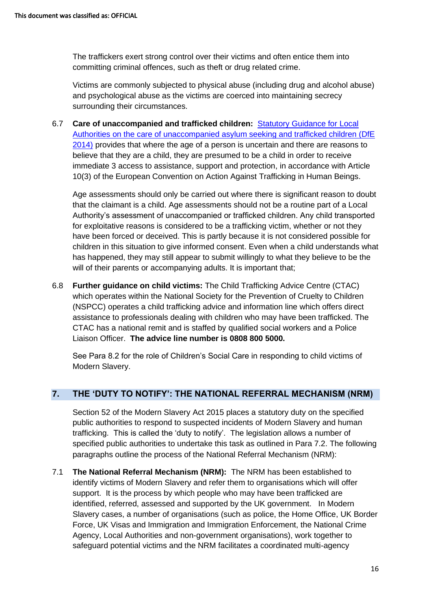The traffickers exert strong control over their victims and often entice them into committing criminal offences, such as theft or drug related crime.

Victims are commonly subjected to physical abuse (including drug and alcohol abuse) and psychological abuse as the victims are coerced into maintaining secrecy surrounding their circumstances.

6.7 **Care of unaccompanied and trafficked children:** [Statutory Guidance for Local](https://www.gov.uk/government/publications/care-of-unaccompanied-and-trafficked-children)  [Authorities on the care of unaccompanied asylum seeking and trafficked children \(DfE](https://www.gov.uk/government/publications/care-of-unaccompanied-and-trafficked-children)  [2014\)](https://www.gov.uk/government/publications/care-of-unaccompanied-and-trafficked-children) provides that where the age of a person is uncertain and there are reasons to believe that they are a child, they are presumed to be a child in order to receive immediate 3 access to assistance, support and protection, in accordance with Article 10(3) of the European Convention on Action Against Trafficking in Human Beings.

Age assessments should only be carried out where there is significant reason to doubt that the claimant is a child. Age assessments should not be a routine part of a Local Authority's assessment of unaccompanied or trafficked children. Any child transported for exploitative reasons is considered to be a trafficking victim, whether or not they have been forced or deceived. This is partly because it is not considered possible for children in this situation to give informed consent. Even when a child understands what has happened, they may still appear to submit willingly to what they believe to be the will of their parents or accompanying adults. It is important that:

6.8 **Further guidance on child victims:** The Child Trafficking Advice Centre (CTAC) which operates within the National Society for the Prevention of Cruelty to Children (NSPCC) operates a child trafficking advice and information line which offers direct assistance to professionals dealing with children who may have been trafficked. The CTAC has a national remit and is staffed by qualified social workers and a Police Liaison Officer. **The advice line number is 0808 800 5000.**

See Para 8.2 for the role of Children's Social Care in responding to child victims of Modern Slavery.

## **7. THE 'DUTY TO NOTIFY': THE NATIONAL REFERRAL MECHANISM (NRM)**

Section 52 of the Modern Slavery Act 2015 places a statutory duty on the specified public authorities to respond to suspected incidents of Modern Slavery and human trafficking. This is called the 'duty to notify'. The legislation allows a number of specified public authorities to undertake this task as outlined in Para 7.2. The following paragraphs outline the process of the National Referral Mechanism (NRM):

7.1 **The National Referral Mechanism (NRM):** The NRM has been established to identify victims of Modern Slavery and refer them to organisations which will offer support. It is the process by which people who may have been trafficked are identified, referred, assessed and supported by the UK government. In Modern Slavery cases, a number of organisations (such as police, the Home Office, UK Border Force, UK Visas and Immigration and Immigration Enforcement, the National Crime Agency, Local Authorities and non-government organisations), work together to safeguard potential victims and the NRM facilitates a coordinated multi-agency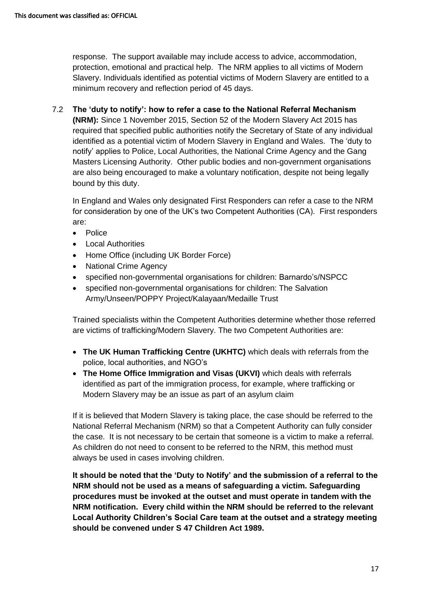response. The support available may include access to advice, accommodation, protection, emotional and practical help. The NRM applies to all victims of Modern Slavery. Individuals identified as potential victims of Modern Slavery are entitled to a minimum recovery and reflection period of 45 days.

## 7.2 **The 'duty to notify': how to refer a case to the National Referral Mechanism**

**(NRM):** Since 1 November 2015, Section 52 of the Modern Slavery Act 2015 has required that specified public authorities notify the Secretary of State of any individual identified as a potential victim of Modern Slavery in England and Wales. The 'duty to notify' applies to Police, Local Authorities, the National Crime Agency and the Gang Masters Licensing Authority. Other public bodies and non-government organisations are also being encouraged to make a voluntary notification, despite not being legally bound by this duty.

In England and Wales only designated First Responders can refer a case to the NRM for consideration by one of the UK's two Competent Authorities (CA). First responders are:

- Police
- Local Authorities
- Home Office (including UK Border Force)
- National Crime Agency
- specified non-governmental organisations for children: Barnardo's/NSPCC
- specified non-governmental organisations for children: The Salvation Army/Unseen/POPPY Project/Kalayaan/Medaille Trust

Trained specialists within the Competent Authorities determine whether those referred are victims of trafficking/Modern Slavery. The two Competent Authorities are:

- **The UK Human Trafficking Centre (UKHTC)** which deals with referrals from the police, local authorities, and NGO's
- **The Home Office Immigration and Visas (UKVI)** which deals with referrals identified as part of the immigration process, for example, where trafficking or Modern Slavery may be an issue as part of an asylum claim

If it is believed that Modern Slavery is taking place, the case should be referred to the National Referral Mechanism (NRM) so that a Competent Authority can fully consider the case. It is not necessary to be certain that someone is a victim to make a referral. As children do not need to consent to be referred to the NRM, this method must always be used in cases involving children.

**It should be noted that the 'Duty to Notify' and the submission of a referral to the NRM should not be used as a means of safeguarding a victim. Safeguarding procedures must be invoked at the outset and must operate in tandem with the NRM notification. Every child within the NRM should be referred to the relevant Local Authority Children's Social Care team at the outset and a strategy meeting should be convened under S 47 Children Act 1989.**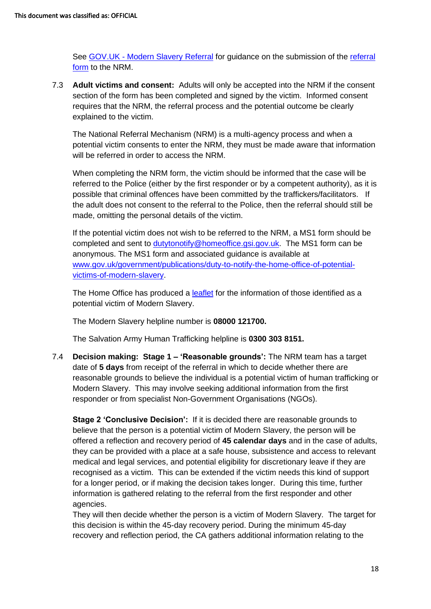See GOV.UK - [Modern Slavery Referral](https://www.gov.uk/government/publications/human-trafficking-victims-referral-and-assessment-forms) for guidance on the submission of the [referral](https://www.modernslavery.gov.uk/start)  [form](https://www.modernslavery.gov.uk/start) to the NRM.

7.3 **Adult victims and consent:** Adults will only be accepted into the NRM if the consent section of the form has been completed and signed by the victim. Informed consent requires that the NRM, the referral process and the potential outcome be clearly explained to the victim.

The National Referral Mechanism (NRM) is a multi-agency process and when a potential victim consents to enter the NRM, they must be made aware that information will be referred in order to access the NRM.

When completing the NRM form, the victim should be informed that the case will be referred to the Police (either by the first responder or by a competent authority), as it is possible that criminal offences have been committed by the traffickers/facilitators. If the adult does not consent to the referral to the Police, then the referral should still be made, omitting the personal details of the victim.

If the potential victim does not wish to be referred to the NRM, a MS1 form should be completed and sent to [dutytonotify@homeoffice.gsi.gov.uk.](mailto:dutytonotify@homeoffice.gsi.gov.uk) The MS1 form can be anonymous. The MS1 form and associated guidance is available at [www.gov.uk/government/publications/duty-to-notify-the-home-office-of-potential](http://www.gov.uk/government/publications/duty-to-notify-the-home-office-of-potential-victims-of-modern-slavery)[victims-of-modern-slavery.](http://www.gov.uk/government/publications/duty-to-notify-the-home-office-of-potential-victims-of-modern-slavery)

The Home Office has produced a [leaflet](https://www.gov.uk/government/uploads/system/uploads/attachment_data/file/510593/6_1672_HO_VictimsModernSlavery_DL_FINAL_WEB_230316.pdf) for the information of those identified as a potential victim of Modern Slavery.

The Modern Slavery helpline number is **08000 121700.** 

The Salvation Army Human Trafficking helpline is **0300 303 8151.**

7.4 **Decision making: Stage 1 – 'Reasonable grounds':** The NRM team has a target date of **5 days** from receipt of the referral in which to decide whether there are reasonable grounds to believe the individual is a potential victim of human trafficking or Modern Slavery. This may involve seeking additional information from the first responder or from specialist Non-Government Organisations (NGOs).

**Stage 2 'Conclusive Decision':** If it is decided there are reasonable grounds to believe that the person is a potential victim of Modern Slavery, the person will be offered a reflection and recovery period of **45 calendar days** and in the case of adults, they can be provided with a place at a safe house, subsistence and access to relevant medical and legal services, and potential eligibility for discretionary leave if they are recognised as a victim. This can be extended if the victim needs this kind of support for a longer period, or if making the decision takes longer. During this time, further information is gathered relating to the referral from the first responder and other agencies.

They will then decide whether the person is a victim of Modern Slavery. The target for this decision is within the 45-day recovery period. During the minimum 45-day recovery and reflection period, the CA gathers additional information relating to the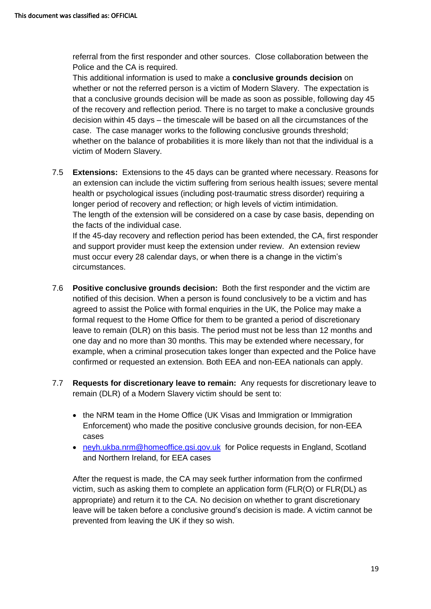referral from the first responder and other sources. Close collaboration between the Police and the CA is required.

This additional information is used to make a **conclusive grounds decision** on whether or not the referred person is a victim of Modern Slavery. The expectation is that a conclusive grounds decision will be made as soon as possible, following day 45 of the recovery and reflection period. There is no target to make a conclusive grounds decision within 45 days – the timescale will be based on all the circumstances of the case. The case manager works to the following conclusive grounds threshold; whether on the balance of probabilities it is more likely than not that the individual is a victim of Modern Slavery.

7.5 **Extensions:** Extensions to the 45 days can be granted where necessary. Reasons for an extension can include the victim suffering from serious health issues; severe mental health or psychological issues (including post-traumatic stress disorder) requiring a longer period of recovery and reflection; or high levels of victim intimidation. The length of the extension will be considered on a case by case basis, depending on the facts of the individual case.

If the 45-day recovery and reflection period has been extended, the CA, first responder and support provider must keep the extension under review. An extension review must occur every 28 calendar days, or when there is a change in the victim's circumstances.

- 7.6 **Positive conclusive grounds decision:** Both the first responder and the victim are notified of this decision. When a person is found conclusively to be a victim and has agreed to assist the Police with formal enquiries in the UK, the Police may make a formal request to the Home Office for them to be granted a period of discretionary leave to remain (DLR) on this basis. The period must not be less than 12 months and one day and no more than 30 months. This may be extended where necessary, for example, when a criminal prosecution takes longer than expected and the Police have confirmed or requested an extension. Both EEA and non-EEA nationals can apply.
- 7.7 **Requests for discretionary leave to remain:** Any requests for discretionary leave to remain (DLR) of a Modern Slavery victim should be sent to:
	- the NRM team in the Home Office (UK Visas and Immigration or Immigration Enforcement) who made the positive conclusive grounds decision, for non-EEA cases
	- [neyh.ukba.nrm@homeoffice.gsi.gov.uk](mailto:neyh.ukba.nrm@homeoffice.gsi.gov.uk) for Police requests in England, Scotland and Northern Ireland, for EEA cases

After the request is made, the CA may seek further information from the confirmed victim, such as asking them to complete an application form (FLR(O) or FLR(DL) as appropriate) and return it to the CA. No decision on whether to grant discretionary leave will be taken before a conclusive ground's decision is made. A victim cannot be prevented from leaving the UK if they so wish.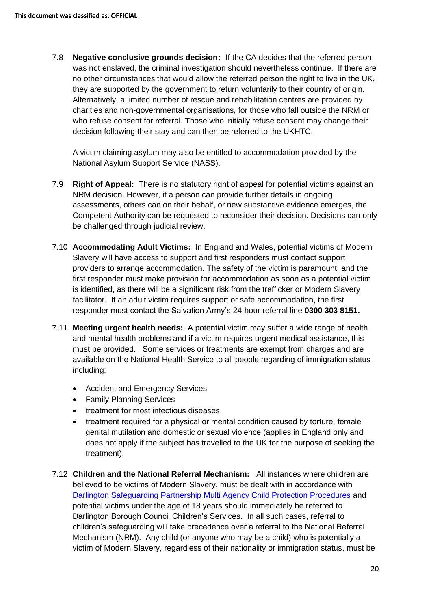7.8 **Negative conclusive grounds decision:** If the CA decides that the referred person was not enslaved, the criminal investigation should nevertheless continue. If there are no other circumstances that would allow the referred person the right to live in the UK, they are supported by the government to return voluntarily to their country of origin. Alternatively, a limited number of rescue and rehabilitation centres are provided by charities and non-governmental organisations, for those who fall outside the NRM or who refuse consent for referral. Those who initially refuse consent may change their decision following their stay and can then be referred to the UKHTC.

A victim claiming asylum may also be entitled to accommodation provided by the National Asylum Support Service (NASS).

- 7.9 **Right of Appeal:** There is no statutory right of appeal for potential victims against an NRM decision. However, if a person can provide further details in ongoing assessments, others can on their behalf, or new substantive evidence emerges, the Competent Authority can be requested to reconsider their decision. Decisions can only be challenged through judicial review.
- 7.10 **Accommodating Adult Victims:** In England and Wales, potential victims of Modern Slavery will have access to support and first responders must contact support providers to arrange accommodation. The safety of the victim is paramount, and the first responder must make provision for accommodation as soon as a potential victim is identified, as there will be a significant risk from the trafficker or Modern Slavery facilitator. If an adult victim requires support or safe accommodation, the first responder must contact the Salvation Army's 24-hour referral line **0300 303 8151.**
- 7.11 **Meeting urgent health needs:** A potential victim may suffer a wide range of health and mental health problems and if a victim requires urgent medical assistance, this must be provided. Some services or treatments are exempt from charges and are available on the National Health Service to all people regarding of immigration status including:
	- Accident and Emergency Services
	- Family Planning Services
	- treatment for most infectious diseases
	- treatment required for a physical or mental condition caused by torture, female genital mutilation and domestic or sexual violence (applies in England only and does not apply if the subject has travelled to the UK for the purpose of seeking the treatment).
- 7.12 **Children and the National Referral Mechanism:** All instances where children are believed to be victims of Modern Slavery, must be dealt with in accordance with [Darlington Safeguarding Partnership Multi Agency Child Protection Procedures](https://www.darlington-safeguarding-partnership.co.uk/professionals/multi-agency-safeguarding-child-protection-procedures/) and potential victims under the age of 18 years should immediately be referred to Darlington Borough Council Children's Services. In all such cases, referral to children's safeguarding will take precedence over a referral to the National Referral Mechanism (NRM). Any child (or anyone who may be a child) who is potentially a victim of Modern Slavery, regardless of their nationality or immigration status, must be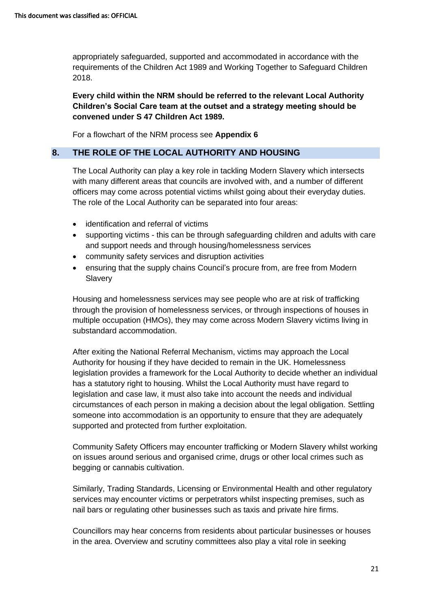appropriately safeguarded, supported and accommodated in accordance with the requirements of the Children Act 1989 and Working Together to Safeguard Children 2018.

**Every child within the NRM should be referred to the relevant Local Authority Children's Social Care team at the outset and a strategy meeting should be convened under S 47 Children Act 1989.** 

For a flowchart of the NRM process see **Appendix 6**

#### **8. THE ROLE OF THE LOCAL AUTHORITY AND HOUSING**

The Local Authority can play a key role in tackling Modern Slavery which intersects with many different areas that councils are involved with, and a number of different officers may come across potential victims whilst going about their everyday duties. The role of the Local Authority can be separated into four areas:

- identification and referral of victims
- supporting victims this can be through safeguarding children and adults with care and support needs and through housing/homelessness services
- community safety services and disruption activities
- ensuring that the supply chains Council's procure from, are free from Modern **Slavery**

Housing and homelessness services may see people who are at risk of trafficking through the provision of homelessness services, or through inspections of houses in multiple occupation (HMOs), they may come across Modern Slavery victims living in substandard accommodation.

After exiting the National Referral Mechanism, victims may approach the Local Authority for housing if they have decided to remain in the UK. Homelessness legislation provides a framework for the Local Authority to decide whether an individual has a statutory right to housing. Whilst the Local Authority must have regard to legislation and case law, it must also take into account the needs and individual circumstances of each person in making a decision about the legal obligation. Settling someone into accommodation is an opportunity to ensure that they are adequately supported and protected from further exploitation.

Community Safety Officers may encounter trafficking or Modern Slavery whilst working on issues around serious and organised crime, drugs or other local crimes such as begging or cannabis cultivation.

Similarly, Trading Standards, Licensing or Environmental Health and other regulatory services may encounter victims or perpetrators whilst inspecting premises, such as nail bars or regulating other businesses such as taxis and private hire firms.

Councillors may hear concerns from residents about particular businesses or houses in the area. Overview and scrutiny committees also play a vital role in seeking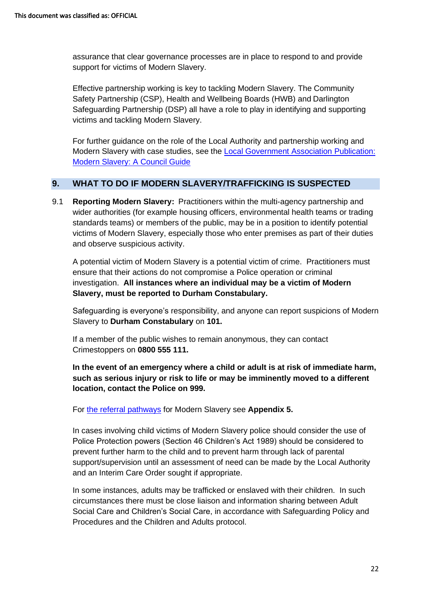assurance that clear governance processes are in place to respond to and provide support for victims of Modern Slavery.

Effective partnership working is key to tackling Modern Slavery. The Community Safety Partnership (CSP), Health and Wellbeing Boards (HWB) and Darlington Safeguarding Partnership (DSP) all have a role to play in identifying and supporting victims and tackling Modern Slavery.

For further guidance on the role of the Local Authority and partnership working and Modern Slavery with case studies, see the [Local Government Association Publication:](https://www.local.gov.uk/sites/default/files/documents/22.12_Modern_slavery_WEB%202.pdf)  [Modern Slavery: A Council Guide](https://www.local.gov.uk/sites/default/files/documents/22.12_Modern_slavery_WEB%202.pdf)

#### **9. WHAT TO DO IF MODERN SLAVERY/TRAFFICKING IS SUSPECTED**

9.1 **Reporting Modern Slavery:** Practitioners within the multi-agency partnership and wider authorities (for example housing officers, environmental health teams or trading standards teams) or members of the public, may be in a position to identify potential victims of Modern Slavery, especially those who enter premises as part of their duties and observe suspicious activity.

A potential victim of Modern Slavery is a potential victim of crime. Practitioners must ensure that their actions do not compromise a Police operation or criminal investigation. **All instances where an individual may be a victim of Modern Slavery, must be reported to Durham Constabulary.**

Safeguarding is everyone's responsibility, and anyone can report suspicions of Modern Slavery to **Durham Constabulary** on **101.**

If a member of the public wishes to remain anonymous, they can contact Crimestoppers on **0800 555 111.** 

**In the event of an emergency where a child or adult is at risk of immediate harm, such as serious injury or risk to life or may be imminently moved to a different location, contact the Police on 999.** 

For [the referral pathways](https://www.darlington-safeguarding-partnership.co.uk/professionals/multi-agency-practice-guidance-and-additional-information/) for Modern Slavery see **Appendix 5.** 

In cases involving child victims of Modern Slavery police should consider the use of Police Protection powers (Section 46 Children's Act 1989) should be considered to prevent further harm to the child and to prevent harm through lack of parental support/supervision until an assessment of need can be made by the Local Authority and an Interim Care Order sought if appropriate.

In some instances, adults may be trafficked or enslaved with their children. In such circumstances there must be close liaison and information sharing between Adult Social Care and Children's Social Care, in accordance with Safeguarding Policy and Procedures and the Children and Adults protocol.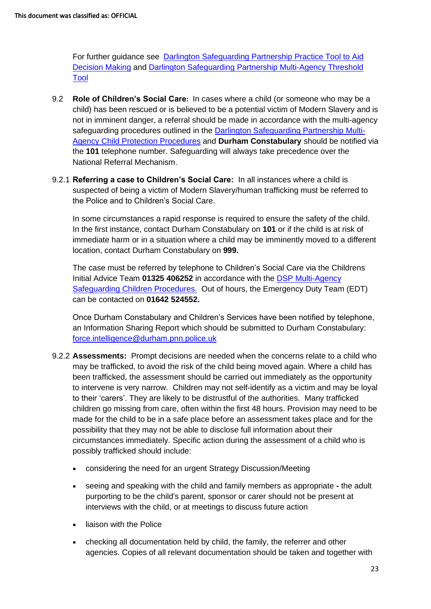For further guidance see [Darlington Safeguarding Partnership Practice Tool to Aid](https://www.darlington-safeguarding-partnership.co.uk/professionals/multi-agency-practice-guidance/)  [Decision Making](https://www.darlington-safeguarding-partnership.co.uk/professionals/multi-agency-practice-guidance/) and [Darlington Safeguarding Partnership Multi-Agency Threshold](https://www.darlington-safeguarding-partnership.co.uk/professionals/multi-agency-practice-guidance/) [Tool](https://www.darlington-safeguarding-partnership.co.uk/professionals/multi-agency-practice-guidance/) 

- 9.2 **Role of Children's Social Care:** In cases where a child (or someone who may be a child) has been rescued or is believed to be a potential victim of Modern Slavery and is not in imminent danger, a referral should be made in accordance with the multi-agency safeguarding procedures outlined in the [Darlington Safeguarding Partnership](https://www.darlington-safeguarding-partnership.co.uk/professionals/multi-agency-safeguarding-child-protection-procedures/) Multi-[Agency Child Protection Procedures](https://www.darlington-safeguarding-partnership.co.uk/professionals/multi-agency-safeguarding-child-protection-procedures/) and **Durham Constabulary** should be notified via the **101** telephone number. Safeguarding will always take precedence over the National Referral Mechanism.
- 9.2.1 **Referring a case to Children's Social Care:** In all instances where a child is suspected of being a victim of Modern Slavery/human trafficking must be referred to the Police and to Children's Social Care.

In some circumstances a rapid response is required to ensure the safety of the child. In the first instance, contact Durham Constabulary on **101** or if the child is at risk of immediate harm or in a situation where a child may be imminently moved to a different location, contact Durham Constabulary on **999.** 

The case must be referred by telephone to Children's Social Care via the Childrens Initial Advice Team **01325 406252** in accordance with the [DSP Multi-Agency](https://www.darlington-safeguarding-partnership.co.uk/about-us/concerned-about-a-child/)  [Safeguarding Children Procedures.](https://www.darlington-safeguarding-partnership.co.uk/about-us/concerned-about-a-child/) Out of hours, the Emergency Duty Team (EDT) can be contacted on **01642 524552.** 

Once Durham Constabulary and Children's Services have been notified by telephone, an Information Sharing Report which should be submitted to Durham Constabulary: [force.intelligence@durham.pnn.police.uk](mailto:force.intelligence@durham.pnn.police.uk)

- 9.2.2 **Assessments:** Prompt decisions are needed when the concerns relate to a child who may be trafficked, to avoid the risk of the child being moved again. Where a child has been trafficked, the assessment should be carried out immediately as the opportunity to intervene is very narrow. Children may not self-identify as a victim and may be loyal to their 'carers'. They are likely to be distrustful of the authorities. Many trafficked children go missing from care, often within the first 48 hours. Provision may need to be made for the child to be in a safe place before an assessment takes place and for the possibility that they may not be able to disclose full information about their circumstances immediately. Specific action during the [assessment](http://trixresources.proceduresonline.com/nat_key/keywords/assessment.html) of a child who is possibly trafficked should include:
	- considering the need for an urgent Strategy Discussion/Meeting
	- seeing and speaking with the child and family members as appropriate **-** the adult purporting to be the child's parent, sponsor or carer should not be present at interviews with the child, or at meetings to discuss future action
	- liaison with the Police
	- checking all documentation held by child, the family, the referrer and other agencies. Copies of all relevant documentation should be taken and together with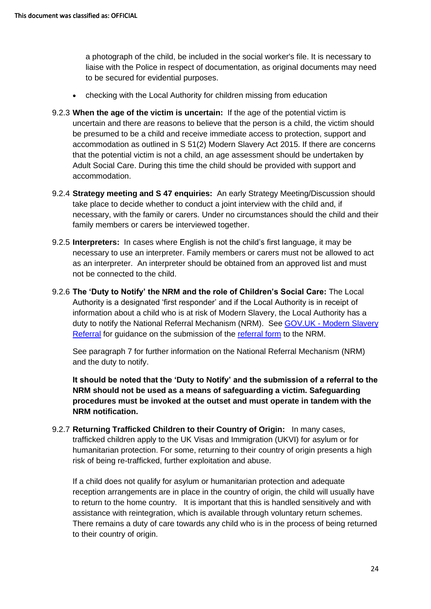a photograph of the child, be included in the social worker's file. It is necessary to liaise with the Police in respect of documentation, as original documents may need to be secured for evidential purposes.

- checking with the Local Authority for children missing from education
- 9.2.3 **When the age of the victim is uncertain:** If the age of the potential victim is uncertain and there are reasons to believe that the person is a child, the victim should be presumed to be a child and receive immediate access to protection, support and accommodation as outlined in S 51(2) Modern Slavery Act 2015. If there are concerns that the potential victim is not a child, an age assessment should be undertaken by Adult Social Care. During this time the child should be provided with support and accommodation.
- 9.2.4 **Strategy meeting and S 47 enquiries:** An early [Strategy Meeting/Discussion](http://www.proceduresonline.com/resources/keywords_online/nat_key/keywords/strategy_discussion.html) should take place to decide whether to conduct a joint interview with the child and, if necessary, with the family or carers. Under no circumstances should the child and their family members or carers be interviewed together.
- 9.2.5 **Interpreters:** In cases where English is not the child's first language, it may be necessary to use an interpreter. Family members or carers must not be allowed to act as an interpreter. An interpreter should be obtained from an approved list and must not be connected to the child.
- 9.2.6 **The 'Duty to Notify' the NRM and the role of Children's Social Care:** The Local Authority is a designated 'first responder' and if the Local Authority is in receipt of information about a child who is at risk of Modern Slavery, the Local Authority has a duty to notify the National Referral Mechanism (NRM). See GOV.UK - Modern Slavery [Referral](https://www.gov.uk/government/publications/human-trafficking-victims-referral-and-assessment-forms) for guidance on the submission of the [referral form](https://www.modernslavery.gov.uk/start) to the NRM.

See paragraph 7 for further information on the National Referral Mechanism (NRM) and the duty to notify.

**It should be noted that the 'Duty to Notify' and the submission of a referral to the NRM should not be used as a means of safeguarding a victim. Safeguarding procedures must be invoked at the outset and must operate in tandem with the NRM notification.** 

9.2.7 **Returning Trafficked Children to their Country of Origin:** In many cases, trafficked children apply to the UK Visas and Immigration (UKVI) for asylum or for humanitarian protection. For some, returning to their country of origin presents a high risk of being re-trafficked, further exploitation and abuse.

If a child does not qualify for asylum or humanitarian protection and adequate reception arrangements are in place in the country of origin, the child will usually have to return to the home country. It is important that this is handled sensitively and with assistance with reintegration, which is available through voluntary return schemes. There remains a duty of care towards any child who is in the process of being returned to their country of origin.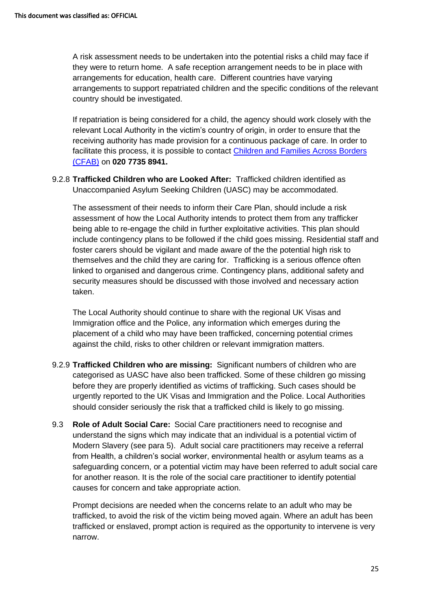A risk assessment needs to be undertaken into the potential risks a child may face if they were to return home. A safe reception arrangement needs to be in place with arrangements for education, health care. Different countries have varying arrangements to support repatriated children and the specific conditions of the relevant country should be investigated.

If repatriation is being considered for a child, the agency should work closely with the relevant Local Authority in the victim's country of origin, in order to ensure that the receiving authority has made provision for a continuous package of care. In order to facilitate this process, it is possible to contact [Children and Families Across Borders](http://cfab.org.uk/)  [\(CFAB\)](http://cfab.org.uk/) on **020 7735 8941.**

9.2.8 **Trafficked Children who are Looked After:** Trafficked children identified as Unaccompanied Asylum Seeking Children (UASC) may be [accommodated.](http://www.proceduresonline.com/resources/keywords_online/nat_key/keywords/accommodated.html)

The assessment of their needs to inform their [Care Plan,](http://www.proceduresonline.com/resources/keywords_online/nat_key/keywords/care_plan.html) should include a risk assessment of how the Local Authority intends to protect them from any trafficker being able to re-engage the child in further exploitative activities. This plan should include contingency plans to be followed if the child goes missing. Residential staff and foster carers should be vigilant and made aware of the the potential high risk to themselves and the child they are caring for. Trafficking is a serious offence often linked to organised and dangerous crime. Contingency plans, additional safety and security measures should be discussed with those involved and necessary action taken.

The Local Authority should continue to share with the regional UK Visas and Immigration office and the Police, any information which emerges during the placement of a child who may have been trafficked, concerning potential crimes against the child, risks to other children or relevant immigration matters.

- 9.2.9 **Trafficked Children who are missing:** Significant numbers of children who are categorised as UASC have also been trafficked. Some of these children go missing before they are properly identified as victims of trafficking. Such cases should be urgently reported to the UK Visas and Immigration and the Police. Local Authorities should consider seriously the risk that a trafficked child is likely to go missing.
- 9.3 **Role of Adult Social Care:** Social Care practitioners need to recognise and understand the signs which may indicate that an individual is a potential victim of Modern Slavery (see para 5). Adult social care practitioners may receive a referral from Health, a children's social worker, environmental health or asylum teams as a safeguarding concern, or a potential victim may have been referred to adult social care for another reason. It is the role of the social care practitioner to identify potential causes for concern and take appropriate action.

Prompt decisions are needed when the concerns relate to an adult who may be trafficked, to avoid the risk of the victim being moved again. Where an adult has been trafficked or enslaved, prompt action is required as the opportunity to intervene is very narrow.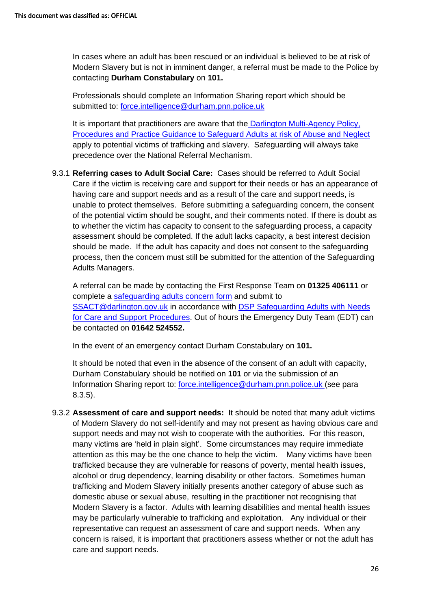In cases where an adult has been rescued or an individual is believed to be at risk of Modern Slavery but is not in imminent danger, a referral must be made to the Police by contacting **Durham Constabulary** on **101.** 

Professionals should complete an Information Sharing report which should be submitted to: [force.intelligence@durham.pnn.police.uk](mailto:force.intelligence@durham.pnn.police.uk)

It is important that practitioners are aware that the [Darlington Multi-Agency Policy,](https://www.darlington-safeguarding-partnership.co.uk/professionals/safeguarding-adult-procedures/)  [Procedures and Practice Guidance to Safeguard Adults at risk of Abuse and Neglect](https://www.darlington-safeguarding-partnership.co.uk/professionals/safeguarding-adult-procedures/) apply to potential victims of trafficking and slavery. Safeguarding will always take precedence over the National Referral Mechanism.

9.3.1 **Referring cases to Adult Social Care:** Cases should be referred to Adult Social Care if the victim is receiving care and support for their needs or has an appearance of having care and support needs and as a result of the care and support needs, is unable to protect themselves. Before submitting a safeguarding concern, the consent of the potential victim should be sought, and their comments noted. If there is doubt as to whether the victim has capacity to consent to the safeguarding process, a capacity assessment should be completed. If the adult lacks capacity, a best interest decision should be made. If the adult has capacity and does not consent to the safeguarding process, then the concern must still be submitted for the attention of the Safeguarding Adults Managers.

A referral can be made by contacting the First Response Team on **01325 406111** or complete a [safeguarding adults concern form](https://www.darlington-safeguarding-partnership.co.uk/about-us/worried-about-an-adult/) and submit to [SSACT@darlington.gov.uk](mailto:SSACT@darlington.gov.uk) in accordance with [DSP Safeguarding Adults with Needs](https://www.darlington-safeguarding-partnership.co.uk/about-us/worried-about-an-adult/)  [for Care and Support Procedures.](https://www.darlington-safeguarding-partnership.co.uk/about-us/worried-about-an-adult/) Out of hours the Emergency Duty Team (EDT) can be contacted on **01642 524552.**

In the event of an emergency contact Durham Constabulary on **101.**

It should be noted that even in the absence of the consent of an adult with capacity, Durham Constabulary should be notified on **101** or via the submission of an Information Sharing report to: [force.intelligence@durham.pnn.police.uk](mailto:force.intelligence@durham.pnn.police.uk) (see para 8.3.5).

9.3.2 **Assessment of care and support needs:** It should be noted that many adult victims of Modern Slavery do not self-identify and may not present as having obvious care and support needs and may not wish to cooperate with the authorities. For this reason, many victims are 'held in plain sight'. Some circumstances may require immediate attention as this may be the one chance to help the victim. Many victims have been trafficked because they are vulnerable for reasons of poverty, mental health issues, alcohol or drug dependency, learning disability or other factors. Sometimes human trafficking and Modern Slavery initially presents another category of abuse such as domestic abuse or sexual abuse, resulting in the practitioner not recognising that Modern Slavery is a factor. Adults with learning disabilities and mental health issues may be particularly vulnerable to trafficking and exploitation. Any individual or their representative can request an assessment of care and support needs. When any concern is raised, it is important that practitioners assess whether or not the adult has care and support needs.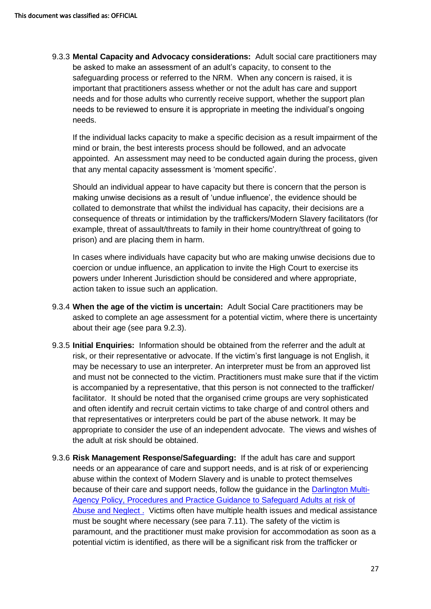9.3.3 **Mental Capacity and Advocacy considerations:** Adult social care practitioners may be asked to make an assessment of an adult's capacity, to consent to the safeguarding process or referred to the NRM. When any concern is raised, it is important that practitioners assess whether or not the adult has care and support needs and for those adults who currently receive support, whether the support plan needs to be reviewed to ensure it is appropriate in meeting the individual's ongoing needs.

If the individual lacks capacity to make a specific decision as a result impairment of the mind or brain, the best interests process should be followed, and an advocate appointed. An assessment may need to be conducted again during the process, given that any mental capacity assessment is 'moment specific'.

Should an individual appear to have capacity but there is concern that the person is making unwise decisions as a result of 'undue influence', the evidence should be collated to demonstrate that whilst the individual has capacity, their decisions are a consequence of threats or intimidation by the traffickers/Modern Slavery facilitators (for example, threat of assault/threats to family in their home country/threat of going to prison) and are placing them in harm.

In cases where individuals have capacity but who are making unwise decisions due to coercion or undue influence, an application to invite the High Court to exercise its powers under Inherent Jurisdiction should be considered and where appropriate, action taken to issue such an application.

- 9.3.4 **When the age of the victim is uncertain:** Adult Social Care practitioners may be asked to complete an age assessment for a potential victim, where there is uncertainty about their age (see para 9.2.3).
- 9.3.5 **Initial Enquiries:** Information should be obtained from the referrer and the adult at risk, or their representative or advocate. If the victim's first language is not English, it may be necessary to use an interpreter. An interpreter must be from an approved list and must not be connected to the victim. Practitioners must make sure that if the victim is accompanied by a representative, that this person is not connected to the trafficker/ facilitator. It should be noted that the organised crime groups are very sophisticated and often identify and recruit certain victims to take charge of and control others and that representatives or interpreters could be part of the abuse network. It may be appropriate to consider the use of an independent advocate. The views and wishes of the adult at risk should be obtained.
- 9.3.6 **Risk Management Response/Safeguarding:** If the adult has care and support needs or an appearance of care and support needs, and is at risk of or experiencing abuse within the context of Modern Slavery and is unable to protect themselves because of their care and support needs, follow the guidance in the [Darlington Multi-](https://www.darlington-safeguarding-partnership.co.uk/professionals/safeguarding-adult-procedures/)[Agency Policy, Procedures and Practice Guidance to Safeguard Adults at risk of](https://www.darlington-safeguarding-partnership.co.uk/professionals/safeguarding-adult-procedures/)  [Abuse and Neglect .](https://www.darlington-safeguarding-partnership.co.uk/professionals/safeguarding-adult-procedures/) Victims often have multiple health issues and medical assistance must be sought where necessary (see para 7.11). The safety of the victim is paramount, and the practitioner must make provision for accommodation as soon as a potential victim is identified, as there will be a significant risk from the trafficker or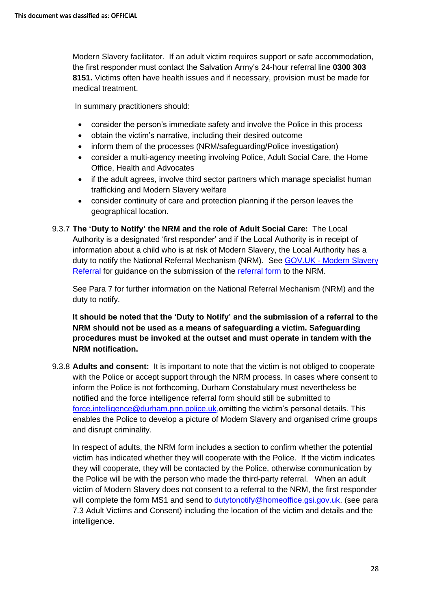Modern Slavery facilitator. If an adult victim requires support or safe accommodation, the first responder must contact the Salvation Army's 24-hour referral line **0300 303 8151.** Victims often have health issues and if necessary, provision must be made for medical treatment.

In summary practitioners should:

- consider the person's immediate safety and involve the Police in this process
- obtain the victim's narrative, including their desired outcome
- inform them of the processes (NRM/safeguarding/Police investigation)
- consider a multi-agency meeting involving Police, Adult Social Care, the Home Office, Health and Advocates
- if the adult agrees, involve third sector partners which manage specialist human trafficking and Modern Slavery welfare
- consider continuity of care and protection planning if the person leaves the geographical location.

9.3.7 **The 'Duty to Notify' the NRM and the role of Adult Social Care:** The Local Authority is a designated 'first responder' and if the Local Authority is in receipt of information about a child who is at risk of Modern Slavery, the Local Authority has a duty to notify the National Referral Mechanism (NRM). See GOV.UK - [Modern Slavery](https://www.gov.uk/government/publications/human-trafficking-victims-referral-and-assessment-forms)  [Referral](https://www.gov.uk/government/publications/human-trafficking-victims-referral-and-assessment-forms) for guidance on the submission of the [referral form](https://www.modernslavery.gov.uk/start) to the NRM.

See Para 7 for further information on the National Referral Mechanism (NRM) and the duty to notify.

**It should be noted that the 'Duty to Notify' and the submission of a referral to the NRM should not be used as a means of safeguarding a victim. Safeguarding procedures must be invoked at the outset and must operate in tandem with the NRM notification.** 

9.3.8 **Adults and consent:** It is important to note that the victim is not obliged to cooperate with the Police or accept support through the NRM process. In cases where consent to inform the Police is not forthcoming, Durham Constabulary must nevertheless be notified and the force intelligence referral form should still be submitted to [force.intelligence@durham.pnn.police.uk,](mailto:force.intelligence@durham.pnn.police.uk)omitting the victim's personal details. This enables the Police to develop a picture of Modern Slavery and organised crime groups and disrupt criminality.

In respect of adults, the NRM form includes a section to confirm whether the potential victim has indicated whether they will cooperate with the Police. If the victim indicates they will cooperate, they will be contacted by the Police, otherwise communication by the Police will be with the person who made the third-party referral. When an adult victim of Modern Slavery does not consent to a referral to the NRM, the first responder will complete the form MS1 and send to [dutytonotify@homeoffice.gsi.gov.uk.](mailto:dutytonotify@homeoffice.gsi.gov.uk) (see para 7.3 Adult Victims and Consent) including the location of the victim and details and the intelligence.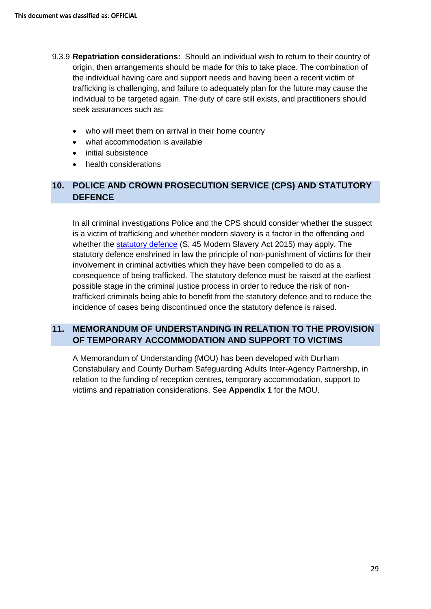- 9.3.9 **Repatriation considerations:** Should an individual wish to return to their country of origin, then arrangements should be made for this to take place. The combination of the individual having care and support needs and having been a recent victim of trafficking is challenging, and failure to adequately plan for the future may cause the individual to be targeted again. The duty of care still exists, and practitioners should seek assurances such as:
	- who will meet them on arrival in their home country
	- what accommodation is available
	- initial subsistence
	- health considerations

## **10. POLICE AND CROWN PROSECUTION SERVICE (CPS) AND STATUTORY DEFENCE**

In all criminal investigations Police and the CPS should consider whether the suspect is a victim of trafficking and whether modern slavery is a factor in the offending and whether the [statutory defence](https://www.legislation.gov.uk/ukpga/2015/30/section/45/enacted) (S. 45 Modern Slavery Act 2015) may apply. The statutory defence enshrined in law the principle of non-punishment of victims for their involvement in criminal activities which they have been compelled to do as a consequence of being trafficked. The statutory defence must be raised at the earliest possible stage in the criminal justice process in order to reduce the risk of nontrafficked criminals being able to benefit from the statutory defence and to reduce the incidence of cases being discontinued once the statutory defence is raised.

## **11. MEMORANDUM OF UNDERSTANDING IN RELATION TO THE PROVISION OF TEMPORARY ACCOMMODATION AND SUPPORT TO VICTIMS**

A Memorandum of Understanding (MOU) has been developed with Durham Constabulary and County Durham Safeguarding Adults Inter-Agency Partnership, in relation to the funding of reception centres, temporary accommodation, support to victims and repatriation considerations. See **Appendix 1** for the MOU.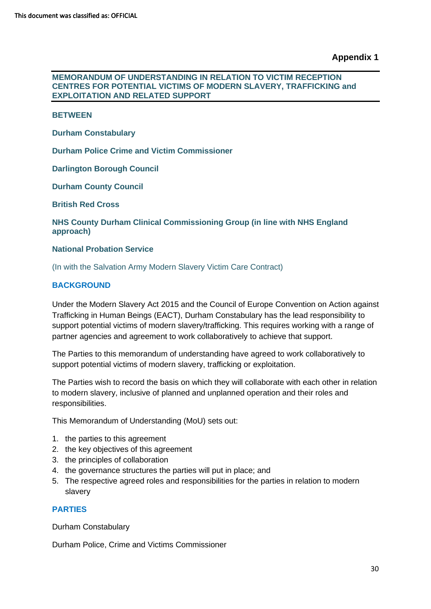#### **MEMORANDUM OF UNDERSTANDING IN RELATION TO VICTIM RECEPTION CENTRES FOR POTENTIAL VICTIMS OF MODERN SLAVERY, TRAFFICKING and EXPLOITATION AND RELATED SUPPORT**

#### **BETWEEN**

**Durham Constabulary**

**Durham Police Crime and Victim Commissioner**

**Darlington Borough Council**

**Durham County Council**

**British Red Cross**

**NHS County Durham Clinical Commissioning Group (in line with NHS England approach)** 

#### **National Probation Service**

(In with the Salvation Army Modern Slavery Victim Care Contract)

#### **BACKGROUND**

Under the Modern Slavery Act 2015 and the Council of Europe Convention on Action against Trafficking in Human Beings (EACT), Durham Constabulary has the lead responsibility to support potential victims of modern slavery/trafficking. This requires working with a range of partner agencies and agreement to work collaboratively to achieve that support.

The Parties to this memorandum of understanding have agreed to work collaboratively to support potential victims of modern slavery, trafficking or exploitation.

The Parties wish to record the basis on which they will collaborate with each other in relation to modern slavery, inclusive of planned and unplanned operation and their roles and responsibilities.

This Memorandum of Understanding (MoU) sets out:

- 1. the parties to this agreement
- 2. the key objectives of this agreement
- 3. the principles of collaboration
- 4. the governance structures the parties will put in place; and
- 5. The respective agreed roles and responsibilities for the parties in relation to modern slavery

#### **PARTIES**

Durham Constabulary

Durham Police, Crime and Victims Commissioner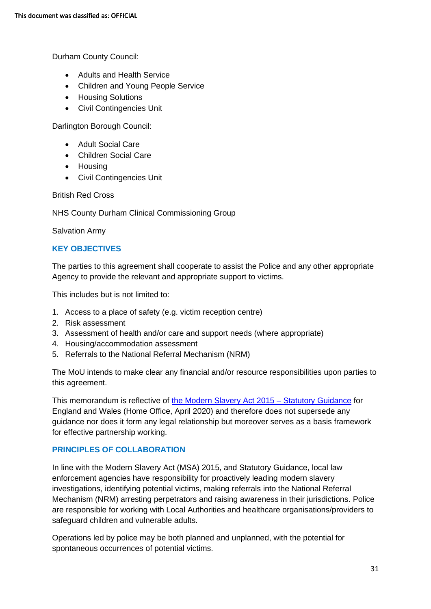Durham County Council:

- Adults and Health Service
- Children and Young People Service
- Housing Solutions
- Civil Contingencies Unit

Darlington Borough Council:

- Adult Social Care
- Children Social Care
- Housing
- Civil Contingencies Unit

British Red Cross

NHS County Durham Clinical Commissioning Group

Salvation Army

#### **KEY OBJECTIVES**

The parties to this agreement shall cooperate to assist the Police and any other appropriate Agency to provide the relevant and appropriate support to victims.

This includes but is not limited to:

- 1. Access to a place of safety (e.g. victim reception centre)
- 2. Risk assessment
- 3. Assessment of health and/or care and support needs (where appropriate)
- 4. Housing/accommodation assessment
- 5. Referrals to the National Referral Mechanism (NRM)

The MoU intends to make clear any financial and/or resource responsibilities upon parties to this agreement.

This memorandum is reflective of [the Modern Slavery Act 2015 –](https://assets.publishing.service.gov.uk/government/uploads/system/uploads/attachment_data/file/896033/July_2020_-_Statutory_Guidance_under_the_Modern_Slavery_Act_2015_v1.01.pdf) Statutory Guidance for England and Wales (Home Office, April 2020) and therefore does not supersede any guidance nor does it form any legal relationship but moreover serves as a basis framework for effective partnership working.

#### **PRINCIPLES OF COLLABORATION**

In line with the Modern Slavery Act (MSA) 2015, and Statutory Guidance, local law enforcement agencies have responsibility for proactively leading modern slavery investigations, identifying potential victims, making referrals into the National Referral Mechanism (NRM) arresting perpetrators and raising awareness in their jurisdictions. Police are responsible for working with Local Authorities and healthcare organisations/providers to safeguard children and vulnerable adults.

Operations led by police may be both planned and unplanned, with the potential for spontaneous occurrences of potential victims.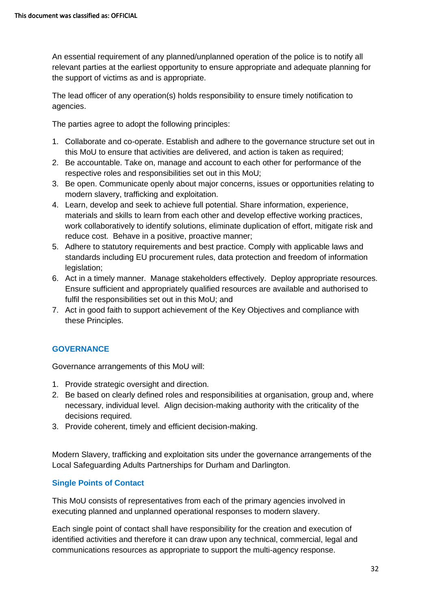An essential requirement of any planned/unplanned operation of the police is to notify all relevant parties at the earliest opportunity to ensure appropriate and adequate planning for the support of victims as and is appropriate.

The lead officer of any operation(s) holds responsibility to ensure timely notification to agencies.

The parties agree to adopt the following principles:

- 1. Collaborate and co-operate. Establish and adhere to the governance structure set out in this MoU to ensure that activities are delivered, and action is taken as required;
- 2. Be accountable. Take on, manage and account to each other for performance of the respective roles and responsibilities set out in this MoU;
- 3. Be open. Communicate openly about major concerns, issues or opportunities relating to modern slavery, trafficking and exploitation.
- 4. Learn, develop and seek to achieve full potential. Share information, experience, materials and skills to learn from each other and develop effective working practices, work collaboratively to identify solutions, eliminate duplication of effort, mitigate risk and reduce cost. Behave in a positive, proactive manner;
- 5. Adhere to statutory requirements and best practice. Comply with applicable laws and standards including EU procurement rules, data protection and freedom of information legislation;
- 6. Act in a timely manner. Manage stakeholders effectively. Deploy appropriate resources. Ensure sufficient and appropriately qualified resources are available and authorised to fulfil the responsibilities set out in this MoU; and
- 7. Act in good faith to support achievement of the Key Objectives and compliance with these Principles.

#### **GOVERNANCE**

Governance arrangements of this MoU will:

- 1. Provide strategic oversight and direction.
- 2. Be based on clearly defined roles and responsibilities at organisation, group and, where necessary, individual level. Align decision-making authority with the criticality of the decisions required.
- 3. Provide coherent, timely and efficient decision-making.

Modern Slavery, trafficking and exploitation sits under the governance arrangements of the Local Safeguarding Adults Partnerships for Durham and Darlington.

#### **Single Points of Contact**

This MoU consists of representatives from each of the primary agencies involved in executing planned and unplanned operational responses to modern slavery.

Each single point of contact shall have responsibility for the creation and execution of identified activities and therefore it can draw upon any technical, commercial, legal and communications resources as appropriate to support the multi-agency response.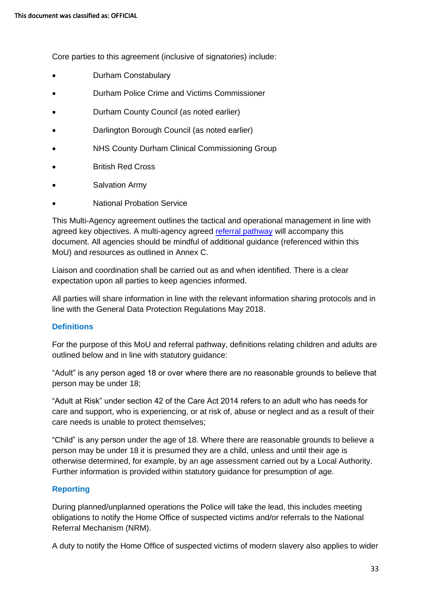Core parties to this agreement (inclusive of signatories) include:

- Durham Constabulary
- Durham Police Crime and Victims Commissioner
- Durham County Council (as noted earlier)
- Darlington Borough Council (as noted earlier)
- NHS County Durham Clinical Commissioning Group
- British Red Cross
- Salvation Army
- National Probation Service

This Multi-Agency agreement outlines the tactical and operational management in line with agreed key objectives. A multi-agency agreed [referral pathway](https://www.darlington-safeguarding-partnership.co.uk/professionals/multi-agency-practice-guidance-and-additional-information/) will accompany this document. All agencies should be mindful of additional guidance (referenced within this MoU) and resources as outlined in Annex C.

Liaison and coordination shall be carried out as and when identified. There is a clear expectation upon all parties to keep agencies informed.

All parties will share information in line with the relevant information sharing protocols and in line with the General Data Protection Regulations May 2018.

#### **Definitions**

For the purpose of this MoU and referral pathway, definitions relating children and adults are outlined below and in line with statutory guidance:

"Adult" is any person aged 18 or over where there are no reasonable grounds to believe that person may be under 18;

"Adult at Risk" under section 42 of the Care Act 2014 refers to an adult who has needs for care and support, who is experiencing, or at risk of, abuse or neglect and as a result of their care needs is unable to protect themselves;

"Child" is any person under the age of 18. Where there are reasonable grounds to believe a person may be under 18 it is presumed they are a child, unless and until their age is otherwise determined, for example, by an age assessment carried out by a Local Authority. Further information is provided within statutory guidance for presumption of age.

#### **Reporting**

During planned/unplanned operations the Police will take the lead, this includes meeting obligations to notify the Home Office of suspected victims and/or referrals to the National Referral Mechanism (NRM).

A duty to notify the Home Office of suspected victims of modern slavery also applies to wider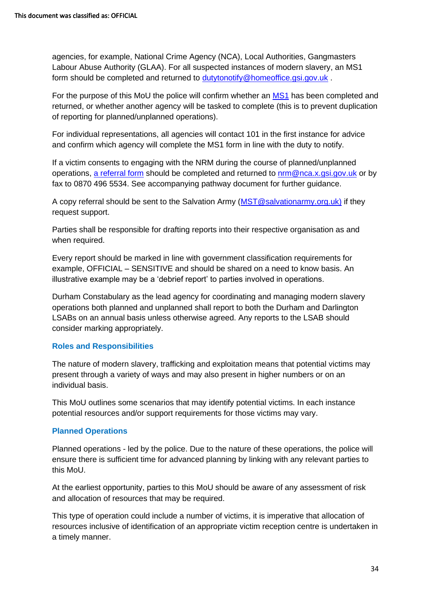agencies, for example, National Crime Agency (NCA), Local Authorities, Gangmasters Labour Abuse Authority (GLAA). For all suspected instances of modern slavery, an MS1 form should be completed and returned to [dutytonotify@homeoffice.gsi.gov.uk](mailto:dutytonotify@homeoffice.gsi.gov.uk) .

For the purpose of this MoU the police will confirm whether an [MS1](https://assets.publishing.service.gov.uk/government/uploads/system/uploads/attachment_data/file/508818/Duty_to_Notify__MS1__Form__Version_2.0_.PDF) has been completed and returned, or whether another agency will be tasked to complete (this is to prevent duplication of reporting for planned/unplanned operations).

For individual representations, all agencies will contact 101 in the first instance for advice and confirm which agency will complete the MS1 form in line with the duty to notify.

If a victim consents to engaging with the NRM during the course of planned/unplanned operations, [a referral form](https://www.gov.uk/government/publications/human-trafficking-victims-referral-and-assessment-forms) should be completed and returned to [nrm@nca.x.gsi.gov.uk](mailto:nrm@nca.x.gsi.gov.uk) or by fax to 0870 496 5534. See accompanying pathway document for further guidance.

A copy referral should be sent to the Salvation Army [\(MST@salvationarmy.org.uk\)](mailto:MST@salvationarmy.org.uk) if they request support.

Parties shall be responsible for drafting reports into their respective organisation as and when required.

Every report should be marked in line with government classification requirements for example, OFFICIAL – SENSITIVE and should be shared on a need to know basis. An illustrative example may be a 'debrief report' to parties involved in operations.

Durham Constabulary as the lead agency for coordinating and managing modern slavery operations both planned and unplanned shall report to both the Durham and Darlington LSABs on an annual basis unless otherwise agreed. Any reports to the LSAB should consider marking appropriately.

#### **Roles and Responsibilities**

The nature of modern slavery, trafficking and exploitation means that potential victims may present through a variety of ways and may also present in higher numbers or on an individual basis.

This MoU outlines some scenarios that may identify potential victims. In each instance potential resources and/or support requirements for those victims may vary.

#### **Planned Operations**

Planned operations - led by the police. Due to the nature of these operations, the police will ensure there is sufficient time for advanced planning by linking with any relevant parties to this MoU.

At the earliest opportunity, parties to this MoU should be aware of any assessment of risk and allocation of resources that may be required.

This type of operation could include a number of victims, it is imperative that allocation of resources inclusive of identification of an appropriate victim reception centre is undertaken in a timely manner.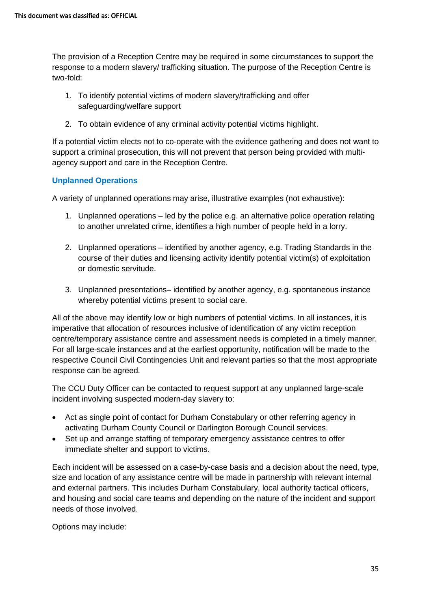The provision of a Reception Centre may be required in some circumstances to support the response to a modern slavery/ trafficking situation. The purpose of the Reception Centre is two-fold:

- 1. To identify potential victims of modern slavery/trafficking and offer safeguarding/welfare support
- 2. To obtain evidence of any criminal activity potential victims highlight.

If a potential victim elects not to co-operate with the evidence gathering and does not want to support a criminal prosecution, this will not prevent that person being provided with multiagency support and care in the Reception Centre.

#### **Unplanned Operations**

A variety of unplanned operations may arise, illustrative examples (not exhaustive):

- 1. Unplanned operations led by the police e.g. an alternative police operation relating to another unrelated crime, identifies a high number of people held in a lorry.
- 2. Unplanned operations identified by another agency, e.g. Trading Standards in the course of their duties and licensing activity identify potential victim(s) of exploitation or domestic servitude.
- 3. Unplanned presentations– identified by another agency, e.g. spontaneous instance whereby potential victims present to social care.

All of the above may identify low or high numbers of potential victims. In all instances, it is imperative that allocation of resources inclusive of identification of any victim reception centre/temporary assistance centre and assessment needs is completed in a timely manner. For all large-scale instances and at the earliest opportunity, notification will be made to the respective Council Civil Contingencies Unit and relevant parties so that the most appropriate response can be agreed.

The CCU Duty Officer can be contacted to request support at any unplanned large-scale incident involving suspected modern-day slavery to:

- Act as single point of contact for Durham Constabulary or other referring agency in activating Durham County Council or Darlington Borough Council services.
- Set up and arrange staffing of temporary emergency assistance centres to offer immediate shelter and support to victims.

Each incident will be assessed on a case-by-case basis and a decision about the need, type, size and location of any assistance centre will be made in partnership with relevant internal and external partners. This includes Durham Constabulary, local authority tactical officers, and housing and social care teams and depending on the nature of the incident and support needs of those involved.

Options may include: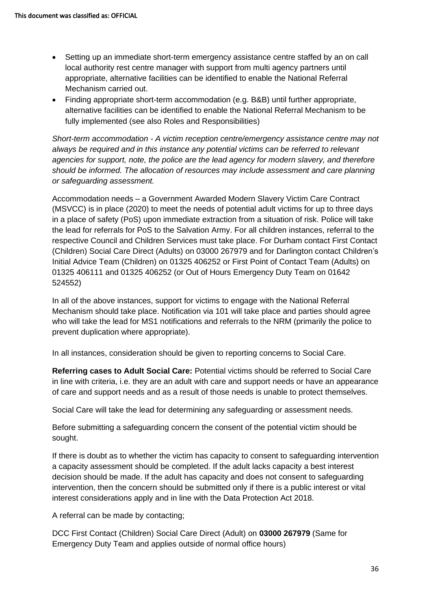- Setting up an immediate short-term emergency assistance centre staffed by an on call local authority rest centre manager with support from multi agency partners until appropriate, alternative facilities can be identified to enable the National Referral Mechanism carried out.
- Finding appropriate short-term accommodation (e.g. B&B) until further appropriate, alternative facilities can be identified to enable the National Referral Mechanism to be fully implemented (see also Roles and Responsibilities)

*Short-term accommodation - A victim reception centre/emergency assistance centre may not always be required and in this instance any potential victims can be referred to relevant agencies for support, note, the police are the lead agency for modern slavery, and therefore should be informed. The allocation of resources may include assessment and care planning or safeguarding assessment.*

Accommodation needs – a Government Awarded Modern Slavery Victim Care Contract (MSVCC) is in place (2020) to meet the needs of potential adult victims for up to three days in a place of safety (PoS) upon immediate extraction from a situation of risk. Police will take the lead for referrals for PoS to the Salvation Army. For all children instances, referral to the respective Council and Children Services must take place. For Durham contact First Contact (Children) Social Care Direct (Adults) on 03000 267979 and for Darlington contact Children's Initial Advice Team (Children) on 01325 406252 or First Point of Contact Team (Adults) on 01325 406111 and 01325 406252 (or Out of Hours Emergency Duty Team on 01642 524552)

In all of the above instances, support for victims to engage with the National Referral Mechanism should take place. Notification via 101 will take place and parties should agree who will take the lead for MS1 notifications and referrals to the NRM (primarily the police to prevent duplication where appropriate).

In all instances, consideration should be given to reporting concerns to Social Care.

**Referring cases to Adult Social Care:** Potential victims should be referred to Social Care in line with criteria, i.e. they are an adult with care and support needs or have an appearance of care and support needs and as a result of those needs is unable to protect themselves.

Social Care will take the lead for determining any safeguarding or assessment needs.

Before submitting a safeguarding concern the consent of the potential victim should be sought.

If there is doubt as to whether the victim has capacity to consent to safeguarding intervention a capacity assessment should be completed. If the adult lacks capacity a best interest decision should be made. If the adult has capacity and does not consent to safeguarding intervention, then the concern should be submitted only if there is a public interest or vital interest considerations apply and in line with the Data Protection Act 2018.

A referral can be made by contacting;

DCC First Contact (Children) Social Care Direct (Adult) on **03000 267979** (Same for Emergency Duty Team and applies outside of normal office hours)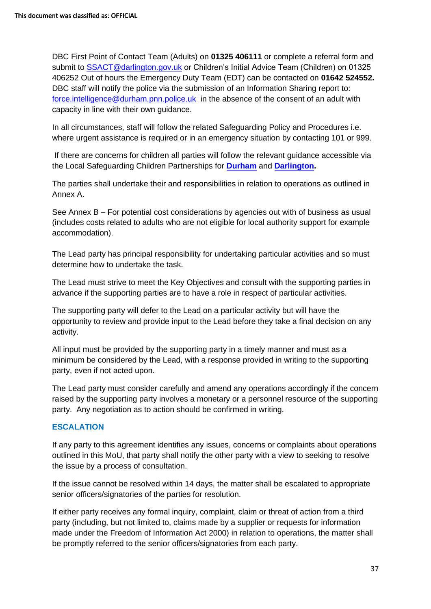DBC First Point of Contact Team (Adults) on **01325 406111** or complete a referral form and submit to **SSACT@darlington.gov.uk** or Children's Initial Advice Team (Children) on 01325 406252 Out of hours the Emergency Duty Team (EDT) can be contacted on **01642 524552.**  DBC staff will notify the police via the submission of an Information Sharing report to: [force.intelligence@durham.pnn.police.uk](mailto:force.intelligence@durham.pnn.police.uk) in the absence of the consent of an adult with capacity in line with their own guidance.

In all circumstances, staff will follow the related Safeguarding Policy and Procedures i.e. where urgent assistance is required or in an emergency situation by contacting 101 or 999.

If there are concerns for children all parties will follow the relevant guidance accessible via the Local Safeguarding Children Partnerships for **[Durham](http://www.dscp.org.uk/)** and **[Darlington.](https://www.darlington-safeguarding-partnership.co.uk/professionals/multi-agency-safeguarding-child-protection-procedures/)**

The parties shall undertake their and responsibilities in relation to operations as outlined in Annex A.

See Annex B – For potential cost considerations by agencies out with of business as usual (includes costs related to adults who are not eligible for local authority support for example accommodation).

The Lead party has principal responsibility for undertaking particular activities and so must determine how to undertake the task.

The Lead must strive to meet the Key Objectives and consult with the supporting parties in advance if the supporting parties are to have a role in respect of particular activities.

The supporting party will defer to the Lead on a particular activity but will have the opportunity to review and provide input to the Lead before they take a final decision on any activity.

All input must be provided by the supporting party in a timely manner and must as a minimum be considered by the Lead, with a response provided in writing to the supporting party, even if not acted upon.

The Lead party must consider carefully and amend any operations accordingly if the concern raised by the supporting party involves a monetary or a personnel resource of the supporting party. Any negotiation as to action should be confirmed in writing.

#### <span id="page-36-0"></span>**ESCALATION**

If any party to this agreement identifies any issues, concerns or complaints about operations outlined in this MoU, that party shall notify the other party with a view to seeking to resolve the issue by a process of consultation.

If the issue cannot be resolved within 14 days, the matter shall be escalated to appropriate senior officers/signatories of the parties for resolution.

If either party receives any formal inquiry, complaint, claim or threat of action from a third party (including, but not limited to, claims made by a supplier or requests for information made under the Freedom of Information Act 2000) in relation to operations, the matter shall be promptly referred to the senior officers/signatories from each party.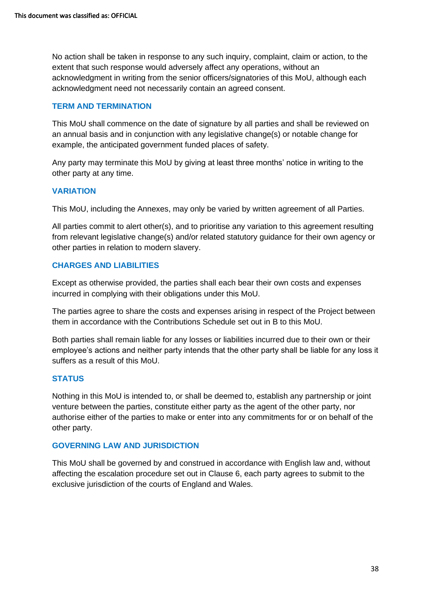No action shall be taken in response to any such inquiry, complaint, claim or action, to the extent that such response would adversely affect any operations, without an acknowledgment in writing from the senior officers/signatories of this MoU, although each acknowledgment need not necessarily contain an agreed consent.

#### **TERM AND TERMINATION**

This MoU shall commence on the date of signature by all parties and shall be reviewed on an annual basis and in conjunction with any legislative change(s) or notable change for example, the anticipated government funded places of safety.

Any party may terminate this MoU by giving at least three months' notice in writing to the other party at any time.

#### **VARIATION**

This MoU, including the Annexes, may only be varied by written agreement of all Parties.

All parties commit to alert other(s), and to prioritise any variation to this agreement resulting from relevant legislative change(s) and/or related statutory guidance for their own agency or other parties in relation to modern slavery.

#### **CHARGES AND LIABILITIES**

Except as otherwise provided, the parties shall each bear their own costs and expenses incurred in complying with their obligations under this MoU.

The parties agree to share the costs and expenses arising in respect of the Project between them in accordance with the Contributions Schedule set out in B to this MoU.

Both parties shall remain liable for any losses or liabilities incurred due to their own or their employee's actions and neither party intends that the other party shall be liable for any loss it suffers as a result of this MoU.

#### **STATUS**

Nothing in this MoU is intended to, or shall be deemed to, establish any partnership or joint venture between the parties, constitute either party as the agent of the other party, nor authorise either of the parties to make or enter into any commitments for or on behalf of the other party.

#### **GOVERNING LAW AND JURISDICTION**

This MoU shall be governed by and construed in accordance with English law and, without affecting the escalation procedure set out in [Clause 6,](#page-36-0) each party agrees to submit to the exclusive jurisdiction of the courts of England and Wales.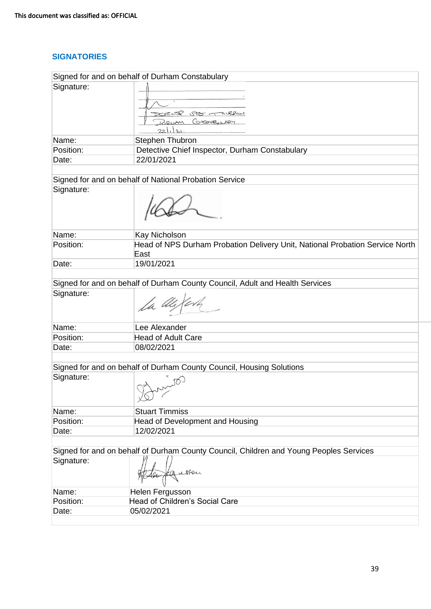## **SIGNATORIES**

| Signed for and on behalf of Durham Constabulary |                                                                                           |  |
|-------------------------------------------------|-------------------------------------------------------------------------------------------|--|
| Signature:                                      | $\mathscr{R} \rightarrow \mathscr{R}$<br>578 TNUSROU<br>COSTABLINE<br>M<br>2 <sub>1</sub> |  |
| Name:                                           | Stephen Thubron                                                                           |  |
| Position:                                       | Detective Chief Inspector, Durham Constabulary                                            |  |
| Date:                                           | 22/01/2021                                                                                |  |
|                                                 |                                                                                           |  |
|                                                 | Signed for and on behalf of National Probation Service                                    |  |
| Signature:                                      |                                                                                           |  |
| Name:                                           | Kay Nicholson                                                                             |  |
| Position:                                       | Head of NPS Durham Probation Delivery Unit, National Probation Service North<br>East      |  |
| Date:                                           | 19/01/2021                                                                                |  |
|                                                 |                                                                                           |  |
|                                                 | Signed for and on behalf of Durham County Council, Adult and Health Services              |  |
| Signature:                                      |                                                                                           |  |
| Name:                                           | Lee Alexander                                                                             |  |
| Position:                                       | <b>Head of Adult Care</b>                                                                 |  |
| Date:                                           | 08/02/2021                                                                                |  |
|                                                 |                                                                                           |  |
|                                                 | Signed for and on behalf of Durham County Council, Housing Solutions                      |  |
| Signature:                                      | - ඟ්<br>$\sqrt{2}$                                                                        |  |
| Name:                                           | <b>Stuart Timmiss</b>                                                                     |  |
| Position:                                       | Head of Development and Housing                                                           |  |
| Date:                                           | 12/02/2021                                                                                |  |
|                                                 |                                                                                           |  |
|                                                 | Signed for and on behalf of Durham County Council, Children and Young Peoples Services    |  |
| Signature:                                      | Eauston                                                                                   |  |
| Name:                                           | Helen Fergusson                                                                           |  |
| Position:                                       | <b>Head of Children's Social Care</b>                                                     |  |
| Date:                                           | 05/02/2021                                                                                |  |
|                                                 |                                                                                           |  |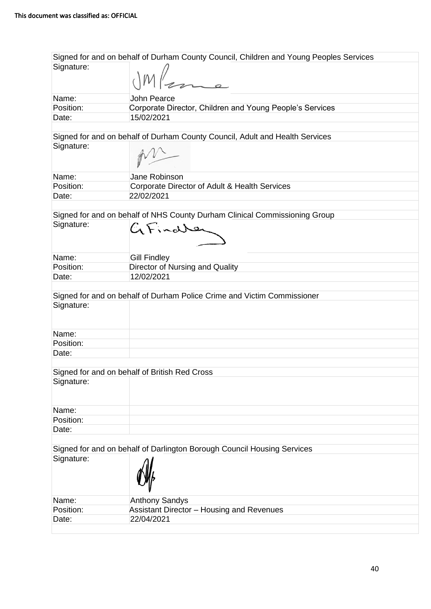| Signed for and on behalf of Durham County Council, Children and Young Peoples Services |                                                                              |  |
|----------------------------------------------------------------------------------------|------------------------------------------------------------------------------|--|
| Signature:                                                                             |                                                                              |  |
|                                                                                        | Mama                                                                         |  |
|                                                                                        |                                                                              |  |
| Name:                                                                                  | <b>John Pearce</b>                                                           |  |
| Position:                                                                              | Corporate Director, Children and Young People's Services                     |  |
| Date:                                                                                  | 15/02/2021                                                                   |  |
|                                                                                        |                                                                              |  |
|                                                                                        | Signed for and on behalf of Durham County Council, Adult and Health Services |  |
| Signature:                                                                             |                                                                              |  |
|                                                                                        |                                                                              |  |
|                                                                                        |                                                                              |  |
| Name:                                                                                  | Jane Robinson                                                                |  |
| Position:                                                                              | Corporate Director of Adult & Health Services                                |  |
| Date:                                                                                  | 22/02/2021                                                                   |  |
|                                                                                        |                                                                              |  |
|                                                                                        | Signed for and on behalf of NHS County Durham Clinical Commissioning Group   |  |
| Signature:                                                                             |                                                                              |  |
|                                                                                        | $G$ Finaller                                                                 |  |
|                                                                                        |                                                                              |  |
|                                                                                        |                                                                              |  |
| Name:                                                                                  | <b>Gill Findley</b>                                                          |  |
| Position:                                                                              | Director of Nursing and Quality                                              |  |
| Date:                                                                                  | 12/02/2021                                                                   |  |
|                                                                                        |                                                                              |  |
|                                                                                        | Signed for and on behalf of Durham Police Crime and Victim Commissioner      |  |
| Signature:                                                                             |                                                                              |  |
|                                                                                        |                                                                              |  |
|                                                                                        |                                                                              |  |
| Name:                                                                                  |                                                                              |  |
| Position:                                                                              |                                                                              |  |
| Date:                                                                                  |                                                                              |  |
|                                                                                        |                                                                              |  |
|                                                                                        | Signed for and on behalf of British Red Cross                                |  |
| Signature:                                                                             |                                                                              |  |
|                                                                                        |                                                                              |  |
|                                                                                        |                                                                              |  |
| Name:                                                                                  |                                                                              |  |
| Position:                                                                              |                                                                              |  |
| Date:                                                                                  |                                                                              |  |
|                                                                                        |                                                                              |  |
|                                                                                        | Signed for and on behalf of Darlington Borough Council Housing Services      |  |
| Signature:                                                                             |                                                                              |  |
|                                                                                        |                                                                              |  |
|                                                                                        |                                                                              |  |
|                                                                                        |                                                                              |  |
| Name:                                                                                  | <b>Anthony Sandys</b>                                                        |  |
| Position:                                                                              | Assistant Director - Housing and Revenues                                    |  |
| Date:                                                                                  | 22/04/2021                                                                   |  |
|                                                                                        |                                                                              |  |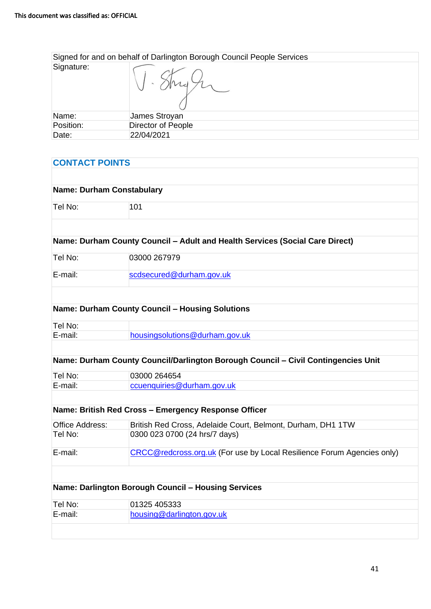| Signed for and on behalf of Darlington Borough Council People Services |                    |
|------------------------------------------------------------------------|--------------------|
| Signature:                                                             |                    |
| Name:                                                                  | James Stroyan      |
| Position:                                                              | Director of People |
| Date:                                                                  | 22/04/2021         |

| <b>CONTACT POINTS</b>            |                                                                                   |
|----------------------------------|-----------------------------------------------------------------------------------|
|                                  |                                                                                   |
| <b>Name: Durham Constabulary</b> |                                                                                   |
| Tel No:                          | 101                                                                               |
|                                  |                                                                                   |
|                                  | Name: Durham County Council - Adult and Health Services (Social Care Direct)      |
| Tel No:                          | 03000 267979                                                                      |
| E-mail:                          | scdsecured@durham.gov.uk                                                          |
|                                  |                                                                                   |
|                                  | <b>Name: Durham County Council - Housing Solutions</b>                            |
| Tel No:                          |                                                                                   |
| E-mail:                          | housingsolutions@durham.gov.uk                                                    |
|                                  |                                                                                   |
|                                  | Name: Durham County Council/Darlington Borough Council - Civil Contingencies Unit |
| Tel No:                          | 03000 264654                                                                      |
| E-mail:                          | ccuenquiries@durham.gov.uk                                                        |
|                                  |                                                                                   |
|                                  | Name: British Red Cross - Emergency Response Officer                              |
| <b>Office Address:</b>           | British Red Cross, Adelaide Court, Belmont, Durham, DH1 1TW                       |
| Tel No:                          | 0300 023 0700 (24 hrs/7 days)                                                     |
| E-mail:                          | <b>CRCC@redcross.org.uk (For use by Local Resilience Forum Agencies only)</b>     |
|                                  |                                                                                   |
|                                  | Name: Darlington Borough Council - Housing Services                               |
| Tel No:                          | 01325 405333                                                                      |
| E-mail:                          | housing@darlington.gov.uk                                                         |
|                                  |                                                                                   |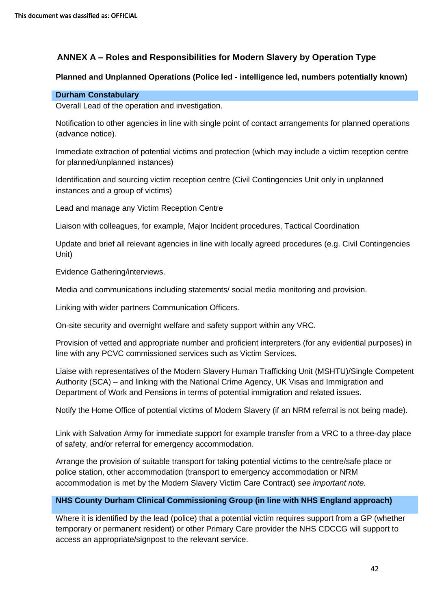## **ANNEX A – Roles and Responsibilities for Modern Slavery by Operation Type**

#### **Planned and Unplanned Operations (Police led - intelligence led, numbers potentially known)**

#### **Durham Constabulary**

Overall Lead of the operation and investigation.

Notification to other agencies in line with single point of contact arrangements for planned operations (advance notice).

Immediate extraction of potential victims and protection (which may include a victim reception centre for planned/unplanned instances)

Identification and sourcing victim reception centre (Civil Contingencies Unit only in unplanned instances and a group of victims)

Lead and manage any Victim Reception Centre

Liaison with colleagues, for example, Major Incident procedures, Tactical Coordination

Update and brief all relevant agencies in line with locally agreed procedures (e.g. Civil Contingencies Unit)

Evidence Gathering/interviews.

Media and communications including statements/ social media monitoring and provision.

Linking with wider partners Communication Officers.

On-site security and overnight welfare and safety support within any VRC.

Provision of vetted and appropriate number and proficient interpreters (for any evidential purposes) in line with any PCVC commissioned services such as Victim Services.

Liaise with representatives of the Modern Slavery Human Trafficking Unit (MSHTU)/Single Competent Authority (SCA) – and linking with the National Crime Agency, UK Visas and Immigration and Department of Work and Pensions in terms of potential immigration and related issues.

Notify the Home Office of potential victims of Modern Slavery (if an NRM referral is not being made).

Link with Salvation Army for immediate support for example transfer from a VRC to a three-day place of safety, and/or referral for emergency accommodation.

Arrange the provision of suitable transport for taking potential victims to the centre/safe place or police station, other accommodation (transport to emergency accommodation or NRM accommodation is met by the Modern Slavery Victim Care Contract) *see important note.*

#### **NHS County Durham Clinical Commissioning Group (in line with NHS England approach)**

Where it is identified by the lead (police) that a potential victim requires support from a GP (whether temporary or permanent resident) or other Primary Care provider the NHS CDCCG will support to access an appropriate/signpost to the relevant service.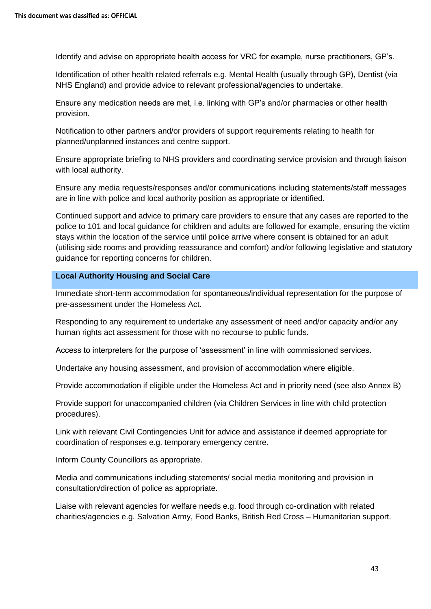Identify and advise on appropriate health access for VRC for example, nurse practitioners, GP's.

Identification of other health related referrals e.g. Mental Health (usually through GP), Dentist (via NHS England) and provide advice to relevant professional/agencies to undertake.

Ensure any medication needs are met, i.e. linking with GP's and/or pharmacies or other health provision.

Notification to other partners and/or providers of support requirements relating to health for planned/unplanned instances and centre support.

Ensure appropriate briefing to NHS providers and coordinating service provision and through liaison with local authority.

Ensure any media requests/responses and/or communications including statements/staff messages are in line with police and local authority position as appropriate or identified.

Continued support and advice to primary care providers to ensure that any cases are reported to the police to 101 and local guidance for children and adults are followed for example, ensuring the victim stays within the location of the service until police arrive where consent is obtained for an adult (utilising side rooms and providing reassurance and comfort) and/or following legislative and statutory guidance for reporting concerns for children.

#### **Local Authority Housing and Social Care**

Immediate short-term accommodation for spontaneous/individual representation for the purpose of pre-assessment under the Homeless Act.

Responding to any requirement to undertake any assessment of need and/or capacity and/or any human rights act assessment for those with no recourse to public funds.

Access to interpreters for the purpose of 'assessment' in line with commissioned services.

Undertake any housing assessment, and provision of accommodation where eligible.

Provide accommodation if eligible under the Homeless Act and in priority need (see also Annex B)

Provide support for unaccompanied children (via Children Services in line with child protection procedures).

Link with relevant Civil Contingencies Unit for advice and assistance if deemed appropriate for coordination of responses e.g. temporary emergency centre.

Inform County Councillors as appropriate.

Media and communications including statements/ social media monitoring and provision in consultation/direction of police as appropriate.

Liaise with relevant agencies for welfare needs e.g. food through co-ordination with related charities/agencies e.g. Salvation Army, Food Banks, British Red Cross – Humanitarian support.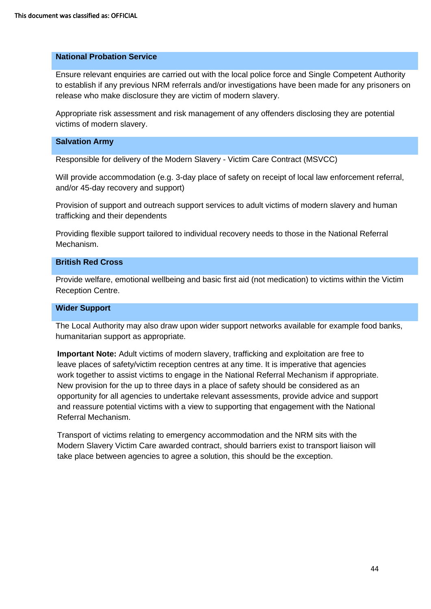#### **National Probation Service**

Ensure relevant enquiries are carried out with the local police force and Single Competent Authority to establish if any previous NRM referrals and/or investigations have been made for any prisoners on release who make disclosure they are victim of modern slavery.

Appropriate risk assessment and risk management of any offenders disclosing they are potential victims of modern slavery.

#### **Salvation Army**

Responsible for delivery of the Modern Slavery - Victim Care Contract (MSVCC)

Will provide accommodation (e.g. 3-day place of safety on receipt of local law enforcement referral, and/or 45-day recovery and support)

Provision of support and outreach support services to adult victims of modern slavery and human trafficking and their dependents

Providing flexible support tailored to individual recovery needs to those in the National Referral Mechanism.

#### **British Red Cross**

Provide welfare, emotional wellbeing and basic first aid (not medication) to victims within the Victim Reception Centre.

#### **Wider Support**

The Local Authority may also draw upon wider support networks available for example food banks, humanitarian support as appropriate.

**Important Note:** Adult victims of modern slavery, trafficking and exploitation are free to leave places of safety/victim reception centres at any time. It is imperative that agencies work together to assist victims to engage in the National Referral Mechanism if appropriate. New provision for the up to three days in a place of safety should be considered as an opportunity for all agencies to undertake relevant assessments, provide advice and support and reassure potential victims with a view to supporting that engagement with the National Referral Mechanism.

Transport of victims relating to emergency accommodation and the NRM sits with the Modern Slavery Victim Care awarded contract, should barriers exist to transport liaison will take place between agencies to agree a solution, this should be the exception.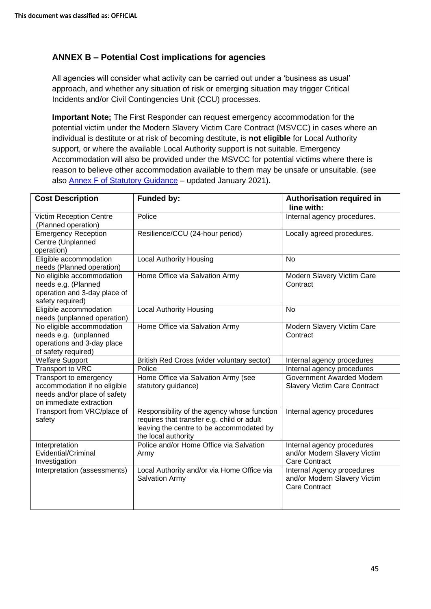## **ANNEX B – Potential Cost implications for agencies**

All agencies will consider what activity can be carried out under a 'business as usual' approach, and whether any situation of risk or emerging situation may trigger Critical Incidents and/or Civil Contingencies Unit (CCU) processes.

**Important Note;** The First Responder can request emergency accommodation for the potential victim under the Modern Slavery Victim Care Contract (MSVCC) in cases where an individual is destitute or at risk of becoming destitute, is **not eligible** for Local Authority support, or where the available Local Authority support is not suitable. Emergency Accommodation will also be provided under the MSVCC for potential victims where there is reason to believe other accommodation available to them may be unsafe or unsuitable. (see also [Annex F of Statutory Guidance](https://assets.publishing.service.gov.uk/government/uploads/system/uploads/attachment_data/file/949269/January_2021_-_Modern_Slavery_Statutory_Guidance__EW__Non-Statutory_Guidance__SNI__v2__FINAL_.pdf) – updated January 2021).

| <b>Cost Description</b>                                                                                           | <b>Funded by:</b>                                                                                                                                            | Authorisation required in<br>line with:                                            |
|-------------------------------------------------------------------------------------------------------------------|--------------------------------------------------------------------------------------------------------------------------------------------------------------|------------------------------------------------------------------------------------|
| Victim Reception Centre<br>(Planned operation)                                                                    | Police                                                                                                                                                       | Internal agency procedures.                                                        |
| <b>Emergency Reception</b><br>Centre (Unplanned<br>operation)                                                     | Resilience/CCU (24-hour period)                                                                                                                              | Locally agreed procedures.                                                         |
| Eligible accommodation<br>needs (Planned operation)                                                               | <b>Local Authority Housing</b>                                                                                                                               | <b>No</b>                                                                          |
| No eligible accommodation<br>needs e.g. (Planned<br>operation and 3-day place of<br>safety required)              | Home Office via Salvation Army                                                                                                                               | Modern Slavery Victim Care<br>Contract                                             |
| Eligible accommodation<br>needs (unplanned operation)                                                             | <b>Local Authority Housing</b>                                                                                                                               | <b>No</b>                                                                          |
| No eligible accommodation<br>needs e.g. (unplanned<br>operations and 3-day place<br>of safety required)           | Home Office via Salvation Army                                                                                                                               | Modern Slavery Victim Care<br>Contract                                             |
| <b>Welfare Support</b>                                                                                            | British Red Cross (wider voluntary sector)                                                                                                                   | Internal agency procedures                                                         |
| Transport to VRC                                                                                                  | Police                                                                                                                                                       | Internal agency procedures                                                         |
| Transport to emergency<br>accommodation if no eligible<br>needs and/or place of safety<br>on immediate extraction | Home Office via Salvation Army (see<br>statutory guidance)                                                                                                   | Government Awarded Modern<br><b>Slavery Victim Care Contract</b>                   |
| Transport from VRC/place of<br>safety                                                                             | Responsibility of the agency whose function<br>requires that transfer e.g. child or adult<br>leaving the centre to be accommodated by<br>the local authority | Internal agency procedures                                                         |
| Interpretation<br>Evidential/Criminal<br>Investigation                                                            | Police and/or Home Office via Salvation<br>Army                                                                                                              | Internal agency procedures<br>and/or Modern Slavery Victim<br><b>Care Contract</b> |
| Interpretation (assessments)                                                                                      | Local Authority and/or via Home Office via<br><b>Salvation Army</b>                                                                                          | Internal Agency procedures<br>and/or Modern Slavery Victim<br><b>Care Contract</b> |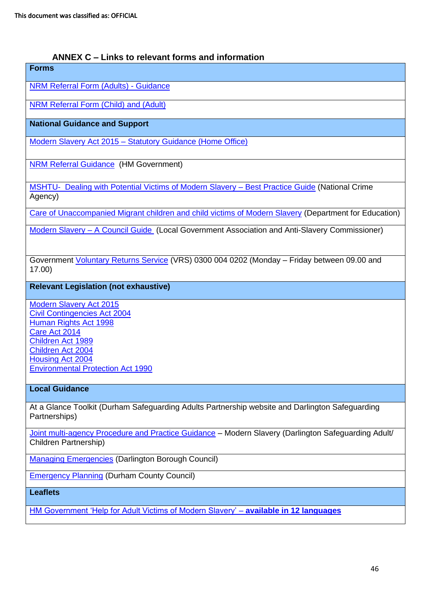## **ANNEX C – Links to relevant forms and information**

# **Forms**  [NRM Referral Form \(Adults\) -](https://www.gov.uk/government/publications/human-trafficking-victims-referral-and-assessment-forms) Guidance [NRM Referral Form \(Child\) and \(Adult\)](https://www.modernslavery.gov.uk/start) **National Guidance and Support** Modern Slavery Act 2015 – [Statutory Guidance \(Home Office\)](https://www.gov.uk/government/publications/modern-slavery-how-to-identify-and-support-victims) [NRM Referral Guidance](https://www.gov.uk/government/publications/human-trafficking-victims-referral-and-assessment-forms) (HM Government) [MSHTU- Dealing with Potential Victims of Modern Slavery –](http://www.nationalcrimeagency.gov.uk/about-us/what-we-do/specialist-capabilities/uk-human-trafficking-centre/best-practice-guide) Best Practice Guide (National Crime Agency) [Care of Unaccompanied Migrant children and child victims of Modern Slavery](https://www.gov.uk/government/publications/care-of-unaccompanied-and-trafficked-children) (Department for Education) [Modern Slavery –](https://www.local.gov.uk/sites/default/files/documents/22.12_Modern_slavery_WEB%202.pdf) A Council Guide (Local Government Association and Anti-Slavery Commissioner) Government [Voluntary Returns Service](https://www.gov.uk/return-home-voluntarily) (VRS) 0300 004 0202 (Monday – Friday between 09.00 and 17.00) **Relevant Legislation (not exhaustive)** [Modern Slavery Act 2015](http://www.legislation.gov.uk/ukpga/2015/30/contents/enacted) [Civil Contingencies Act 2004](https://www.gov.uk/guidance/preparation-and-planning-foremergencies-responsibilities-of-responder-agencies-and-others)

[Human Rights Act 1998](http://www.legislation.gov.uk/ukpga/1998/42/contents) [Care Act 2014](http://www.legislation.gov.uk/ukpga/2014/23/contents/enacted/data.htm) [Children Act 1989](http://www.legislation.gov.uk/ukpga/1989/41/contents) [Children Act 2004](http://www.legislation.gov.uk/ukpga/2004/31/contents) [Housing Act 2004](http://www.legislation.gov.uk/ukpga/2004/34/contents) [Environmental Protection Act 1990](http://www.legislation.gov.uk/ukpga/1990/43/contents)

## **Local Guidance**

At a Glance Toolkit (Durham Safeguarding Adults Partnership website and Darlington Safeguarding Partnerships)

[Joint multi-agency Procedure and Practice Guidance](http://www.darlingtonsafeguardingboards.co.uk/media/1574/modern-slavery-final-version-v-13-multi-agency-practice-guidance.pdf) – Modern Slavery (Darlington Safeguarding Adult/ Children Partnership)

[Managing Emergencies](https://www.darlington.gov.uk/environment-and-planning/civil-contingencies-unit/) (Darlington Borough Council)

[Emergency Planning](http://www.durham.gov.uk/article/1950/Emergency-planning-the-council-and-its-partners) (Durham County Council)

**Leaflets**

[HM Government 'Help for Adult Victims of Modern Slavery' –](https://www.gov.uk/government/publications/support-for-victims-of-human-trafficking) **available in 12 languages**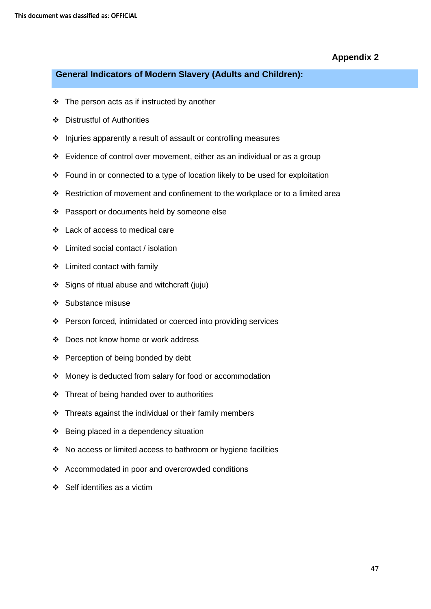## **General Indicators of Modern Slavery (Adults and Children):**

- ❖ The person acts as if instructed by another
- ❖ Distrustful of Authorities
- ❖ Injuries apparently a result of assault or controlling measures
- ❖ Evidence of control over movement, either as an individual or as a group
- ❖ Found in or connected to a type of location likely to be used for exploitation
- ❖ Restriction of movement and confinement to the workplace or to a limited area
- ❖ Passport or documents held by someone else
- ❖ Lack of access to medical care
- ❖ Limited social contact / isolation
- ❖ Limited contact with family
- ❖ Signs of ritual abuse and witchcraft (juju)
- ❖ Substance misuse
- ❖ Person forced, intimidated or coerced into providing services
- ❖ Does not know home or work address
- ❖ Perception of being bonded by debt
- ❖ Money is deducted from salary for food or accommodation
- ❖ Threat of being handed over to authorities
- ❖ Threats against the individual or their family members
- ❖ Being placed in a dependency situation
- ❖ No access or limited access to bathroom or hygiene facilities
- ❖ Accommodated in poor and overcrowded conditions
- ❖ Self identifies as a victim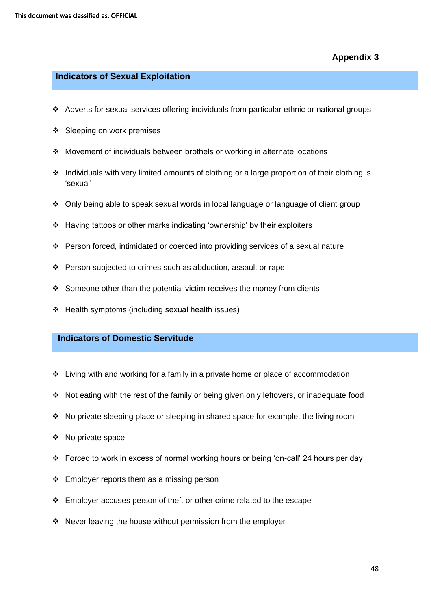#### **Indicators of Sexual Exploitation**

- ❖ Adverts for sexual services offering individuals from particular ethnic or national groups
- ❖ Sleeping on work premises
- ❖ Movement of individuals between brothels or working in alternate locations
- ❖ Individuals with very limited amounts of clothing or a large proportion of their clothing is 'sexual'
- ❖ Only being able to speak sexual words in local language or language of client group
- ❖ Having tattoos or other marks indicating 'ownership' by their exploiters
- ❖ Person forced, intimidated or coerced into providing services of a sexual nature
- ❖ Person subjected to crimes such as abduction, assault or rape
- ❖ Someone other than the potential victim receives the money from clients
- ❖ Health symptoms (including sexual health issues)

#### **Indicators of Domestic Servitude**

- ❖ Living with and working for a family in a private home or place of accommodation
- ❖ Not eating with the rest of the family or being given only leftovers, or inadequate food
- ❖ No private sleeping place or sleeping in shared space for example, the living room
- ❖ No private space
- ❖ Forced to work in excess of normal working hours or being 'on-call' 24 hours per day
- ❖ Employer reports them as a missing person
- ❖ Employer accuses person of theft or other crime related to the escape
- ❖ Never leaving the house without permission from the employer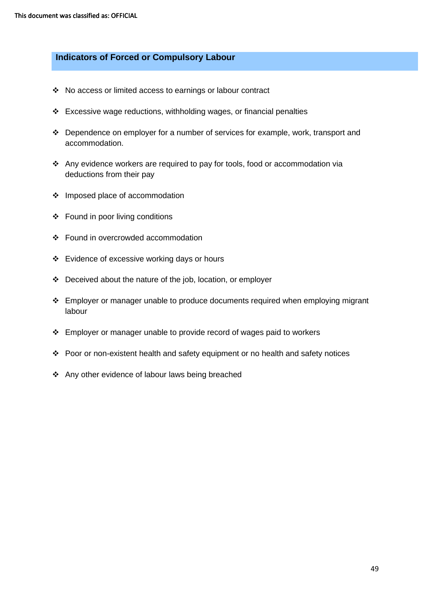#### **Indicators of Forced or Compulsory Labour**

- ❖ No access or limited access to earnings or labour contract
- ❖ Excessive wage reductions, withholding wages, or financial penalties
- ❖ Dependence on employer for a number of services for example, work, transport and accommodation.
- ❖ Any evidence workers are required to pay for tools, food or accommodation via deductions from their pay
- ❖ Imposed place of accommodation
- ❖ Found in poor living conditions
- ❖ Found in overcrowded accommodation
- ❖ Evidence of excessive working days or hours
- ❖ Deceived about the nature of the job, location, or employer
- ❖ Employer or manager unable to produce documents required when employing migrant labour
- ❖ Employer or manager unable to provide record of wages paid to workers
- ❖ Poor or non-existent health and safety equipment or no health and safety notices
- ❖ Any other evidence of labour laws being breached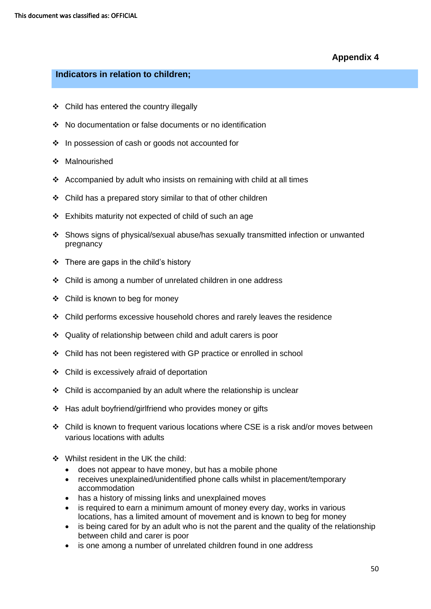## **Indicators in relation to children;**

- ❖ Child has entered the country illegally
- ❖ No documentation or false documents or no identification
- ❖ In possession of cash or goods not accounted for
- ❖ Malnourished
- ❖ Accompanied by adult who insists on remaining with child at all times
- ❖ Child has a prepared story similar to that of other children
- ❖ Exhibits maturity not expected of child of such an age
- ❖ Shows signs of physical/sexual abuse/has sexually transmitted infection or unwanted pregnancy
- $\div$  There are gaps in the child's history
- ❖ Child is among a number of unrelated children in one address
- ❖ Child is known to beg for money
- ❖ Child performs excessive household chores and rarely leaves the residence
- ❖ Quality of relationship between child and adult carers is poor
- ❖ Child has not been registered with GP practice or enrolled in school
- ❖ Child is excessively afraid of deportation
- $\div$  Child is accompanied by an adult where the relationship is unclear
- ❖ Has adult boyfriend/girlfriend who provides money or gifts
- ❖ Child is known to frequent various locations where CSE is a risk and/or moves between various locations with adults
- ❖ Whilst resident in the UK the child:
	- does not appear to have money, but has a mobile phone
	- receives unexplained/unidentified phone calls whilst in placement/temporary accommodation
	- has a history of missing links and unexplained moves
	- is required to earn a minimum amount of money every day, works in various locations, has a limited amount of movement and is known to beg for money
	- is being cared for by an adult who is not the parent and the quality of the relationship between child and carer is poor
	- is one among a number of unrelated children found in one address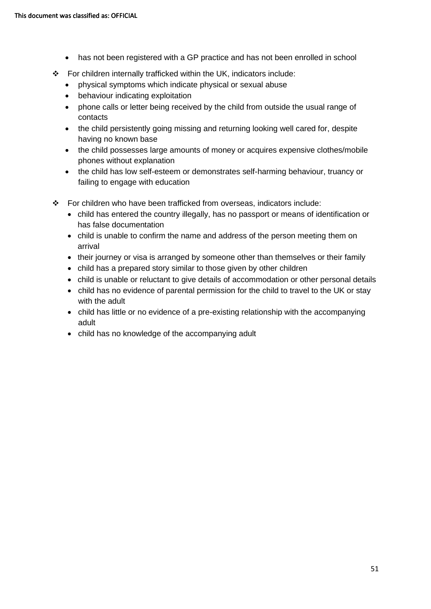- has not been registered with a GP practice and has not been enrolled in school
- ❖ For children internally trafficked within the UK, indicators include:
	- physical symptoms which indicate physical or sexual abuse
	- behaviour indicating exploitation
	- phone calls or letter being received by the child from outside the usual range of contacts
	- the child persistently going missing and returning looking well cared for, despite having no known base
	- the child possesses large amounts of money or acquires expensive clothes/mobile phones without explanation
	- the child has low self-esteem or demonstrates self-harming behaviour, truancy or failing to engage with education
- $\div$  For children who have been trafficked from overseas, indicators include:
	- child has entered the country illegally, has no passport or means of identification or has false documentation
	- child is unable to confirm the name and address of the person meeting them on arrival
	- their journey or visa is arranged by someone other than themselves or their family
	- child has a prepared story similar to those given by other children
	- child is unable or reluctant to give details of accommodation or other personal details
	- child has no evidence of parental permission for the child to travel to the UK or stay with the adult
	- child has little or no evidence of a pre-existing relationship with the accompanying adult
	- child has no knowledge of the accompanying adult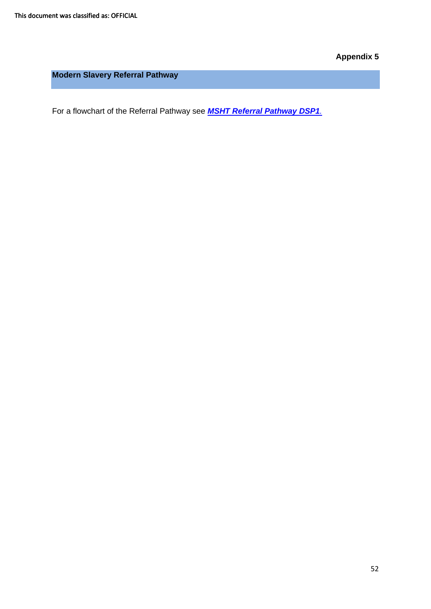**Modern Slavery Referral Pathway** 

For a flowchart of the Referral Pathway see *[MSHT Referral Pathway DSP1](https://www.darlington-safeguarding-partnership.co.uk/professionals/multi-agency-practice-guidance-and-additional-information/).*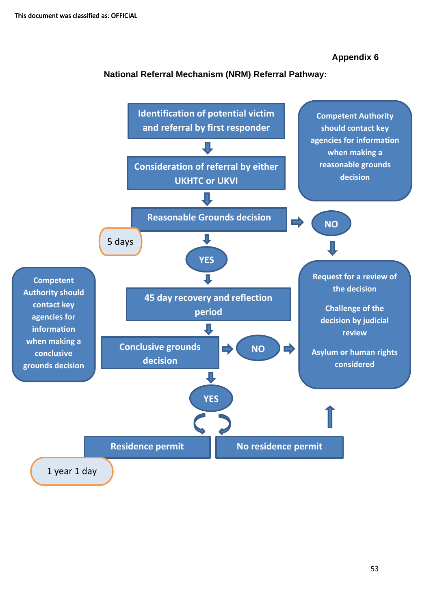## **National Referral Mechanism (NRM) Referral Pathway:**

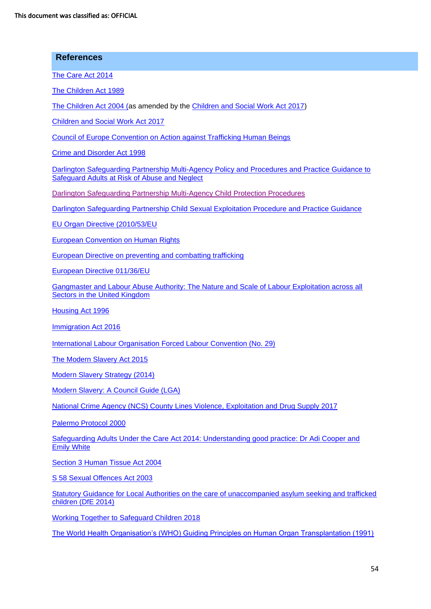| <b>References</b>                                                                                                                                |
|--------------------------------------------------------------------------------------------------------------------------------------------------|
| The Care Act 2014                                                                                                                                |
| The Children Act 1989                                                                                                                            |
| The Children Act 2004 (as amended by the Children and Social Work Act 2017)                                                                      |
| <b>Children and Social Work Act 2017</b>                                                                                                         |
| <b>Council of Europe Convention on Action against Trafficking Human Beings</b>                                                                   |
| Crime and Disorder Act 1998                                                                                                                      |
| Darlington Safeguarding Partnership Multi-Agency Policy and Procedures and Practice Guidance to<br>Safeguard Adults at Risk of Abuse and Neglect |
| Darlington Safeguarding Partnership Multi-Agency Child Protection Procedures                                                                     |
| Darlington Safeguarding Partnership Child Sexual Exploitation Procedure and Practice Guidance                                                    |
| EU Organ Directive (2010/53/EU                                                                                                                   |
| <b>European Convention on Human Rights</b>                                                                                                       |
| <b>European Directive on preventing and combatting trafficking</b>                                                                               |
| European Directive 011/36/EU                                                                                                                     |
| Gangmaster and Labour Abuse Authority: The Nature and Scale of Labour Exploitation across all<br>Sectors in the United Kingdom                   |
| <b>Housing Act 1996</b>                                                                                                                          |
| <b>Immigration Act 2016</b>                                                                                                                      |
| International Labour Organisation Forced Labour Convention (No. 29)                                                                              |
| The Modern Slavery Act 2015                                                                                                                      |
| <b>Modern Slavery Strategy (2014)</b>                                                                                                            |
| Modern Slavery: A Council Guide (LGA)                                                                                                            |
| National Crime Agency (NCS) County Lines Violence, Exploitation and Drug Supply 2017                                                             |
| Palermo Protocol 2000                                                                                                                            |
| Safeguarding Adults Under the Care Act 2014: Understanding good practice: Dr Adi Cooper and<br><b>Emily White</b>                                |
| Section 3 Human Tissue Act 2004                                                                                                                  |
| S 58 Sexual Offences Act 2003                                                                                                                    |
| Statutory Guidance for Local Authorities on the care of unaccompanied asylum seeking and trafficked<br>children (DfE 2014)                       |
| <b>Working Together to Safeguard Children 2018</b>                                                                                               |

[The World Health Organisation's \(WHO\) Guiding Principles on Human Organ Transplantation \(1991\)](http://www.who.int/transplantation/Guiding_PrinciplesTransplantation_WHA63.22en.pdf)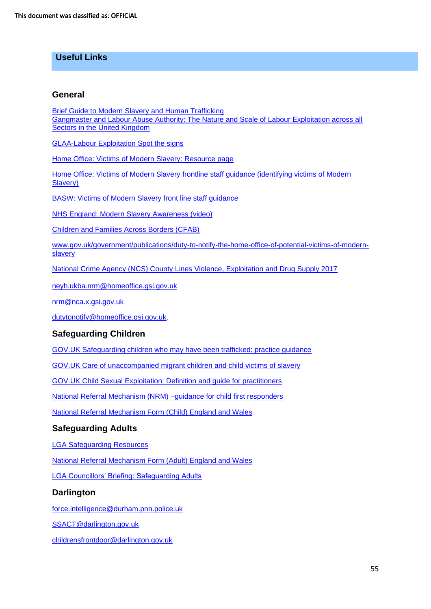## **Useful Links**

#### **General**

[Brief Guide to Modern Slavery](http://www.darlingtonsafeguardingboards.co.uk/media/1518/modern-slavery-and-sexual-exploitation-referral-pathway.pdf) and Human Trafficking [Gangmaster and Labour Abuse Authority: The Nature and Scale of Labour Exploitation across all](file://///Dbcth-fs-02/ssmain/General/DSCB/DSAPB/Sub%20groups/SAB%20P%20&%20I/Documents/Modern%20Slavery%20and%20Sexual%20exploitation%20at%20a%20glance/Gangmaster%20and%20Labour%20Abuse%20Authority:%20The%20Nature%20and%20Scale%20of%20Labour%20Exploitation%20across%20all%20Sectors%20in%20the%20United%20Kingdom)  [Sectors in the United Kingdom](file://///Dbcth-fs-02/ssmain/General/DSCB/DSAPB/Sub%20groups/SAB%20P%20&%20I/Documents/Modern%20Slavery%20and%20Sexual%20exploitation%20at%20a%20glance/Gangmaster%20and%20Labour%20Abuse%20Authority:%20The%20Nature%20and%20Scale%20of%20Labour%20Exploitation%20across%20all%20Sectors%20in%20the%20United%20Kingdom)

[GLAA-Labour Exploitation Spot the signs](http://www.gla.gov.uk/media/3178/spot-the-signs-glaa.pdf)

[Home Office: Victims of Modern Slavery: Resource page](https://www.gov.uk/government/publications/modern-slavery-training-resource-page/modern-slavery-training-resource-page) 

Home Office: Victims of Modern Slavery [frontline staff guidance \(identifying victims of Modern](https://www.gov.uk/government/uploads/system/uploads/attachment_data/file/509326/victims-of-modern-slavery-frontline-staff-guidance-v3.pdf)  [Slavery\)](https://www.gov.uk/government/uploads/system/uploads/attachment_data/file/509326/victims-of-modern-slavery-frontline-staff-guidance-v3.pdf) 

[BASW: Victims of Modern Slavery](https://www.basw.co.uk/resource/?id=5194) front line staff guidance

[NHS England: Modern Slavery](https://www.england.nhs.uk/ourwork/safeguarding/our-work/modern-slavery/) Awareness (video)

[Children and Families Across Borders \(CFAB\)](http://cfab.org.uk/)

[www.gov.uk/government/publications/duty-to-notify-the-home-office-of-potential-victims-of-modern](http://www.gov.uk/government/publications/duty-to-notify-the-home-office-of-potential-victims-of-modern-slavery)[slavery](http://www.gov.uk/government/publications/duty-to-notify-the-home-office-of-potential-victims-of-modern-slavery)

[National Crime Agency \(NCS\) County Lines Violence, Exploitation and Drug Supply 2017](http://www.nationalcrimeagency.gov.uk/publications/832-county-lines-violence-exploitation-and-drug-supply-2017/file) 

[neyh.ukba.nrm@homeoffice.gsi.gov.uk](mailto:neyh.ukba.nrm@homeoffice.gsi.gov.uk) 

[nrm@nca.x.gsi.gov.uk](mailto:nrm@nca.x.gsi.gov.uk)

[dutytonotify@homeoffice.gsi.gov.uk.](mailto:dutytonotify@homeoffice.gsi.gov.uk)

#### **Safeguarding Children**

[GOV.UK Safeguarding children who may have been trafficked: practice guidance](https://www.gov.uk/government/publications/safeguarding-children-who-may-have-been-trafficked-practice-guidance)

[GOV.UK Care of unaccompanied migrant children and child victims of slavery](https://www.gov.uk/government/publications/care-of-unaccompanied-and-trafficked-children)

[GOV.UK Child Sexual Exploitation: Definition and guide for practitioners](ttps://www.gov.uk/government/publications/child-sexual-exploitation-definition-and-guide-for-practitioners)

[National Referral Mechanism \(NRM\) –guidance for child first responders](https://www.gov.uk/government/publications/national-referral-mechanism-guidance-for-child-first-responders)

[National Referral Mechanism Form \(Child\) England and Wales](https://www.gov.uk/government/publications/human-trafficking-victims-referral-and-assessment-forms)

#### **Safeguarding Adults**

LGA [Safeguarding Resources](ttps://www.local.gov.uk/topics/social-care-health-and-integration/adult-social-care/safeguarding-resources)

[National Referral Mechanism Form \(Adult\) England and Wales](ttps://www.gov.uk/government/publications/human-trafficking-victims-referral-and-assessment-forms)

[LGA Councillors' Briefing: Safeguarding Adults](https://www.local.gov.uk/topics/social-care-health-and-integration/adult-social-care/councillors-briefing-safeguarding-adults)

#### **Darlington**

[force.intelligence@durham.pnn.police.uk](mailto:force.intelligence@durham.pnn.police.uk)

[SSACT@darlington.gov.uk](mailto:SSACT@darlington.gov.uk)

[childrensfrontdoor@darlington.gov.uk](mailto:childrensfrontdoor@darlington.gov.uk)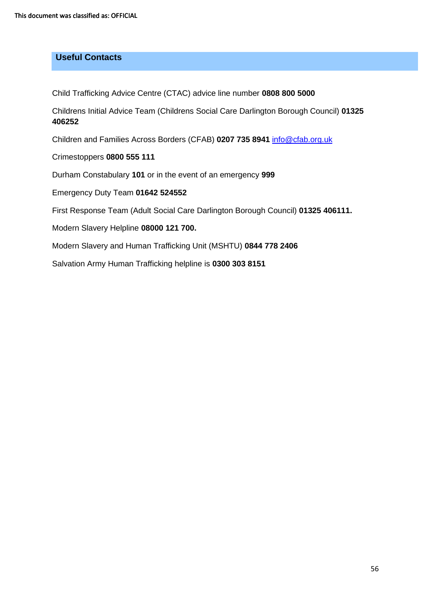## **Useful Contacts**

Child Trafficking Advice Centre (CTAC) advice line number **0808 800 5000**

Childrens Initial Advice Team (Childrens Social Care Darlington Borough Council) **01325 406252**

Children and Families Across Borders (CFAB) **0207 735 8941** [info@cfab.org.uk](mailto:info@cfab.org.uk)

Crimestoppers **0800 555 111**

Durham Constabulary **101** or in the event of an emergency **999** 

Emergency Duty Team **01642 524552**

First Response Team (Adult Social Care Darlington Borough Council) **01325 406111.** 

Modern Slavery Helpline **08000 121 700.** 

Modern Slavery and Human Trafficking Unit (MSHTU) **0844 778 2406**

Salvation Army Human Trafficking helpline is **0300 303 8151**